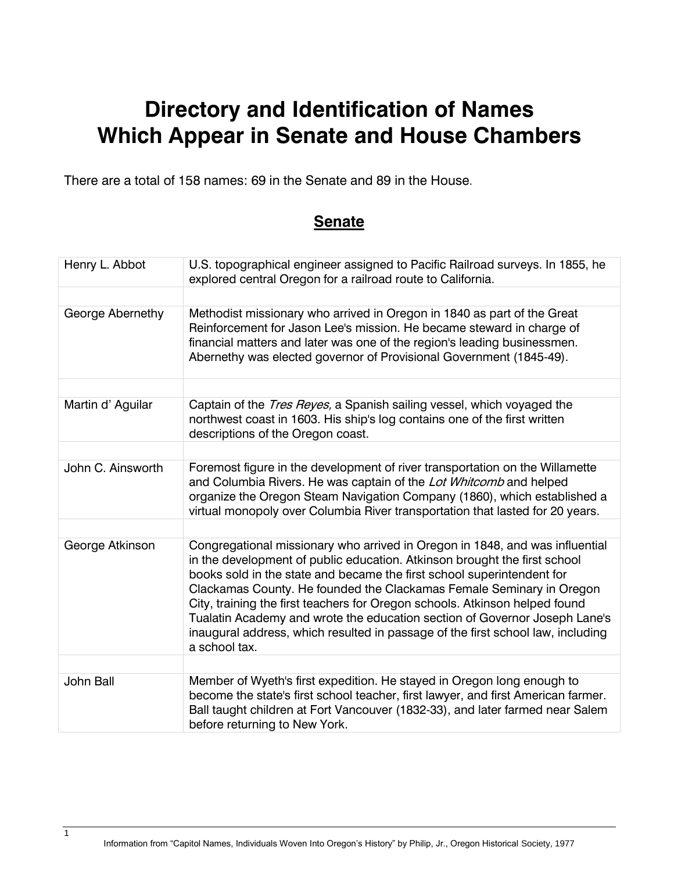## **Directory and Identification of Names Which Appear in Senate and House Chambers**

There are a total of 158 names: 69 in the Senate and 89 in the House.

## **Senate**

| Henry L. Abbot    | U.S. topographical engineer assigned to Pacific Railroad surveys. In 1855, he<br>explored central Oregon for a railroad route to California.                                                                                                                                                                                                                                                                                                                                                                                                                                 |
|-------------------|------------------------------------------------------------------------------------------------------------------------------------------------------------------------------------------------------------------------------------------------------------------------------------------------------------------------------------------------------------------------------------------------------------------------------------------------------------------------------------------------------------------------------------------------------------------------------|
| George Abernethy  | Methodist missionary who arrived in Oregon in 1840 as part of the Great<br>Reinforcement for Jason Lee's mission. He became steward in charge of<br>financial matters and later was one of the region's leading businessmen.<br>Abernethy was elected governor of Provisional Government (1845-49).                                                                                                                                                                                                                                                                          |
| Martin d' Aguilar | Captain of the Tres Reyes, a Spanish sailing vessel, which voyaged the<br>northwest coast in 1603. His ship's log contains one of the first written<br>descriptions of the Oregon coast.                                                                                                                                                                                                                                                                                                                                                                                     |
| John C. Ainsworth | Foremost figure in the development of river transportation on the Willamette<br>and Columbia Rivers. He was captain of the Lot Whitcomb and helped<br>organize the Oregon Steam Navigation Company (1860), which established a<br>virtual monopoly over Columbia River transportation that lasted for 20 years.                                                                                                                                                                                                                                                              |
|                   |                                                                                                                                                                                                                                                                                                                                                                                                                                                                                                                                                                              |
| George Atkinson   | Congregational missionary who arrived in Oregon in 1848, and was influential<br>in the development of public education. Atkinson brought the first school<br>books sold in the state and became the first school superintendent for<br>Clackamas County. He founded the Clackamas Female Seminary in Oregon<br>City, training the first teachers for Oregon schools. Atkinson helped found<br>Tualatin Academy and wrote the education section of Governor Joseph Lane's<br>inaugural address, which resulted in passage of the first school law, including<br>a school tax. |
|                   |                                                                                                                                                                                                                                                                                                                                                                                                                                                                                                                                                                              |
| John Ball         | Member of Wyeth's first expedition. He stayed in Oregon long enough to<br>become the state's first school teacher, first lawyer, and first American farmer.<br>Ball taught children at Fort Vancouver (1832-33), and later farmed near Salem<br>before returning to New York.                                                                                                                                                                                                                                                                                                |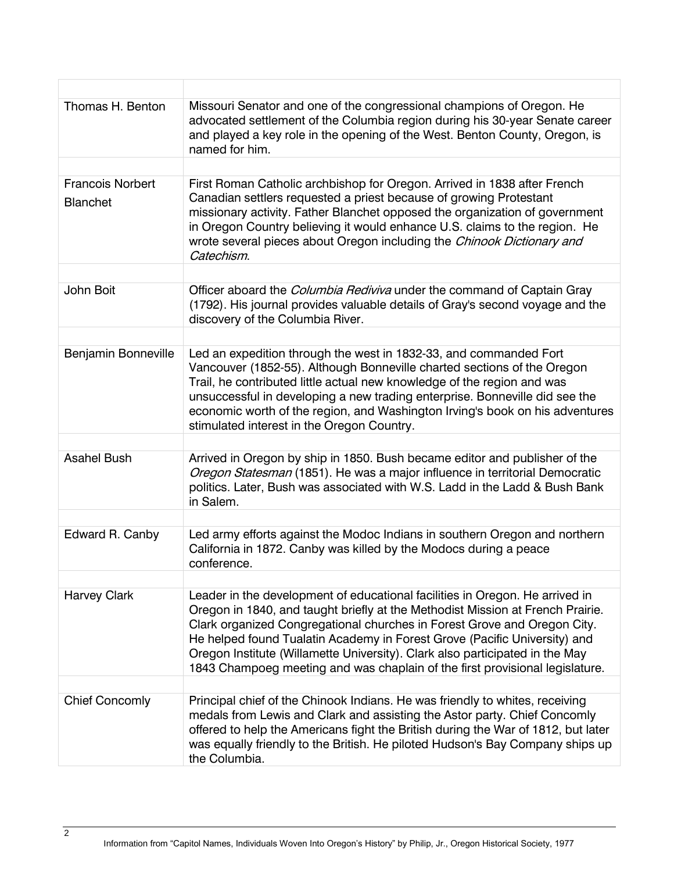| Thomas H. Benton                           | Missouri Senator and one of the congressional champions of Oregon. He<br>advocated settlement of the Columbia region during his 30-year Senate career<br>and played a key role in the opening of the West. Benton County, Oregon, is<br>named for him.                                                                                                                                                                                                                                  |
|--------------------------------------------|-----------------------------------------------------------------------------------------------------------------------------------------------------------------------------------------------------------------------------------------------------------------------------------------------------------------------------------------------------------------------------------------------------------------------------------------------------------------------------------------|
|                                            |                                                                                                                                                                                                                                                                                                                                                                                                                                                                                         |
| <b>Francois Norbert</b><br><b>Blanchet</b> | First Roman Catholic archbishop for Oregon. Arrived in 1838 after French<br>Canadian settlers requested a priest because of growing Protestant<br>missionary activity. Father Blanchet opposed the organization of government<br>in Oregon Country believing it would enhance U.S. claims to the region. He<br>wrote several pieces about Oregon including the Chinook Dictionary and<br>Catechism.                                                                                     |
|                                            |                                                                                                                                                                                                                                                                                                                                                                                                                                                                                         |
| John Boit                                  | Officer aboard the <i>Columbia Rediviva</i> under the command of Captain Gray<br>(1792). His journal provides valuable details of Gray's second voyage and the<br>discovery of the Columbia River.                                                                                                                                                                                                                                                                                      |
|                                            |                                                                                                                                                                                                                                                                                                                                                                                                                                                                                         |
| <b>Benjamin Bonneville</b>                 | Led an expedition through the west in 1832-33, and commanded Fort<br>Vancouver (1852-55). Although Bonneville charted sections of the Oregon<br>Trail, he contributed little actual new knowledge of the region and was<br>unsuccessful in developing a new trading enterprise. Bonneville did see the<br>economic worth of the region, and Washington Irving's book on his adventures<br>stimulated interest in the Oregon Country.                                                    |
|                                            |                                                                                                                                                                                                                                                                                                                                                                                                                                                                                         |
| <b>Asahel Bush</b>                         | Arrived in Oregon by ship in 1850. Bush became editor and publisher of the<br>Oregon Statesman (1851). He was a major influence in territorial Democratic<br>politics. Later, Bush was associated with W.S. Ladd in the Ladd & Bush Bank<br>in Salem.                                                                                                                                                                                                                                   |
|                                            |                                                                                                                                                                                                                                                                                                                                                                                                                                                                                         |
| Edward R. Canby                            | Led army efforts against the Modoc Indians in southern Oregon and northern<br>California in 1872. Canby was killed by the Modocs during a peace<br>conference.                                                                                                                                                                                                                                                                                                                          |
|                                            |                                                                                                                                                                                                                                                                                                                                                                                                                                                                                         |
| <b>Harvey Clark</b>                        | Leader in the development of educational facilities in Oregon. He arrived in<br>Oregon in 1840, and taught briefly at the Methodist Mission at French Prairie.<br>Clark organized Congregational churches in Forest Grove and Oregon City.<br>He helped found Tualatin Academy in Forest Grove (Pacific University) and<br>Oregon Institute (Willamette University). Clark also participated in the May<br>1843 Champoeg meeting and was chaplain of the first provisional legislature. |
|                                            |                                                                                                                                                                                                                                                                                                                                                                                                                                                                                         |
| <b>Chief Concomly</b>                      | Principal chief of the Chinook Indians. He was friendly to whites, receiving<br>medals from Lewis and Clark and assisting the Astor party. Chief Concomly<br>offered to help the Americans fight the British during the War of 1812, but later<br>was equally friendly to the British. He piloted Hudson's Bay Company ships up<br>the Columbia.                                                                                                                                        |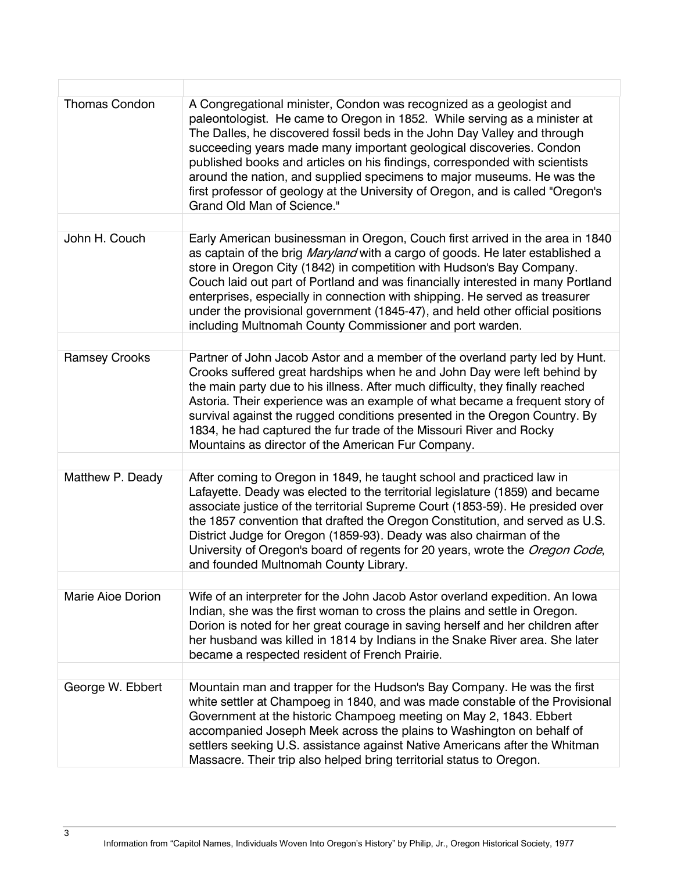| <b>Thomas Condon</b> | A Congregational minister, Condon was recognized as a geologist and<br>paleontologist. He came to Oregon in 1852. While serving as a minister at<br>The Dalles, he discovered fossil beds in the John Day Valley and through<br>succeeding years made many important geological discoveries. Condon<br>published books and articles on his findings, corresponded with scientists<br>around the nation, and supplied specimens to major museums. He was the<br>first professor of geology at the University of Oregon, and is called "Oregon's<br>Grand Old Man of Science." |
|----------------------|------------------------------------------------------------------------------------------------------------------------------------------------------------------------------------------------------------------------------------------------------------------------------------------------------------------------------------------------------------------------------------------------------------------------------------------------------------------------------------------------------------------------------------------------------------------------------|
|                      |                                                                                                                                                                                                                                                                                                                                                                                                                                                                                                                                                                              |
| John H. Couch        | Early American businessman in Oregon, Couch first arrived in the area in 1840<br>as captain of the brig Maryland with a cargo of goods. He later established a<br>store in Oregon City (1842) in competition with Hudson's Bay Company.<br>Couch laid out part of Portland and was financially interested in many Portland<br>enterprises, especially in connection with shipping. He served as treasurer<br>under the provisional government (1845-47), and held other official positions<br>including Multnomah County Commissioner and port warden.                       |
|                      |                                                                                                                                                                                                                                                                                                                                                                                                                                                                                                                                                                              |
| <b>Ramsey Crooks</b> | Partner of John Jacob Astor and a member of the overland party led by Hunt.<br>Crooks suffered great hardships when he and John Day were left behind by<br>the main party due to his illness. After much difficulty, they finally reached<br>Astoria. Their experience was an example of what became a frequent story of<br>survival against the rugged conditions presented in the Oregon Country. By<br>1834, he had captured the fur trade of the Missouri River and Rocky<br>Mountains as director of the American Fur Company.                                          |
|                      |                                                                                                                                                                                                                                                                                                                                                                                                                                                                                                                                                                              |
| Matthew P. Deady     | After coming to Oregon in 1849, he taught school and practiced law in<br>Lafayette. Deady was elected to the territorial legislature (1859) and became<br>associate justice of the territorial Supreme Court (1853-59). He presided over<br>the 1857 convention that drafted the Oregon Constitution, and served as U.S.<br>District Judge for Oregon (1859-93). Deady was also chairman of the<br>University of Oregon's board of regents for 20 years, wrote the Oregon Code,<br>and founded Multnomah County Library.                                                     |
|                      |                                                                                                                                                                                                                                                                                                                                                                                                                                                                                                                                                                              |
| Marie Aioe Dorion    | Wife of an interpreter for the John Jacob Astor overland expedition. An lowa<br>Indian, she was the first woman to cross the plains and settle in Oregon.<br>Dorion is noted for her great courage in saving herself and her children after<br>her husband was killed in 1814 by Indians in the Snake River area. She later<br>became a respected resident of French Prairie.                                                                                                                                                                                                |
|                      |                                                                                                                                                                                                                                                                                                                                                                                                                                                                                                                                                                              |
| George W. Ebbert     | Mountain man and trapper for the Hudson's Bay Company. He was the first<br>white settler at Champoeg in 1840, and was made constable of the Provisional<br>Government at the historic Champoeg meeting on May 2, 1843. Ebbert<br>accompanied Joseph Meek across the plains to Washington on behalf of<br>settlers seeking U.S. assistance against Native Americans after the Whitman<br>Massacre. Their trip also helped bring territorial status to Oregon.                                                                                                                 |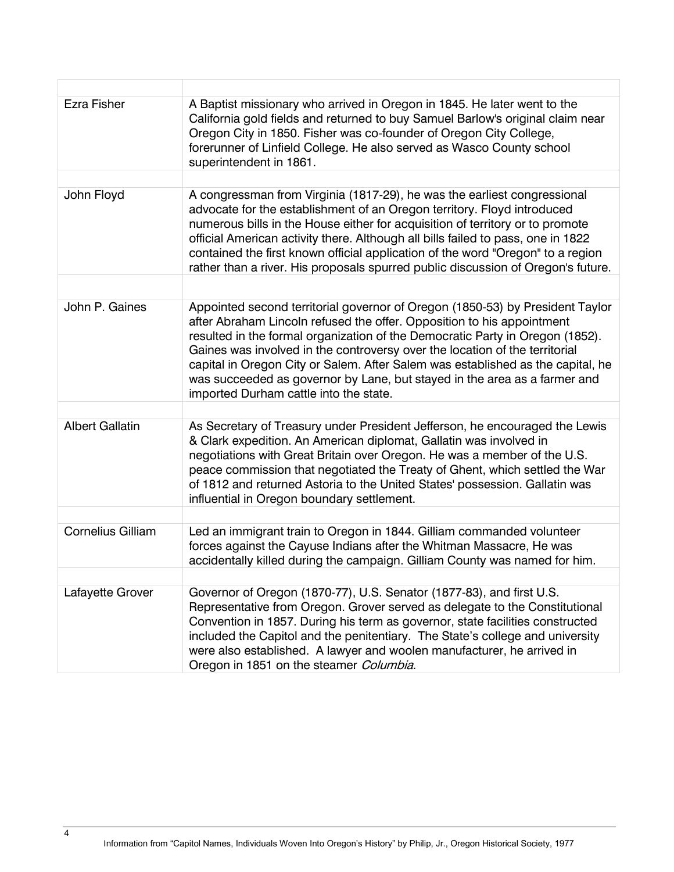| <b>Ezra Fisher</b>       | A Baptist missionary who arrived in Oregon in 1845. He later went to the<br>California gold fields and returned to buy Samuel Barlow's original claim near<br>Oregon City in 1850. Fisher was co-founder of Oregon City College,<br>forerunner of Linfield College. He also served as Wasco County school<br>superintendent in 1861.                                                                                                                                                                                              |
|--------------------------|-----------------------------------------------------------------------------------------------------------------------------------------------------------------------------------------------------------------------------------------------------------------------------------------------------------------------------------------------------------------------------------------------------------------------------------------------------------------------------------------------------------------------------------|
| John Floyd               | A congressman from Virginia (1817-29), he was the earliest congressional<br>advocate for the establishment of an Oregon territory. Floyd introduced<br>numerous bills in the House either for acquisition of territory or to promote<br>official American activity there. Although all bills failed to pass, one in 1822<br>contained the first known official application of the word "Oregon" to a region<br>rather than a river. His proposals spurred public discussion of Oregon's future.                                   |
| John P. Gaines           | Appointed second territorial governor of Oregon (1850-53) by President Taylor<br>after Abraham Lincoln refused the offer. Opposition to his appointment<br>resulted in the formal organization of the Democratic Party in Oregon (1852).<br>Gaines was involved in the controversy over the location of the territorial<br>capital in Oregon City or Salem. After Salem was established as the capital, he<br>was succeeded as governor by Lane, but stayed in the area as a farmer and<br>imported Durham cattle into the state. |
|                          |                                                                                                                                                                                                                                                                                                                                                                                                                                                                                                                                   |
| <b>Albert Gallatin</b>   | As Secretary of Treasury under President Jefferson, he encouraged the Lewis<br>& Clark expedition. An American diplomat, Gallatin was involved in<br>negotiations with Great Britain over Oregon. He was a member of the U.S.<br>peace commission that negotiated the Treaty of Ghent, which settled the War<br>of 1812 and returned Astoria to the United States' possession. Gallatin was<br>influential in Oregon boundary settlement.                                                                                         |
|                          |                                                                                                                                                                                                                                                                                                                                                                                                                                                                                                                                   |
| <b>Cornelius Gilliam</b> | Led an immigrant train to Oregon in 1844. Gilliam commanded volunteer<br>forces against the Cayuse Indians after the Whitman Massacre, He was<br>accidentally killed during the campaign. Gilliam County was named for him.                                                                                                                                                                                                                                                                                                       |
|                          |                                                                                                                                                                                                                                                                                                                                                                                                                                                                                                                                   |
| Lafayette Grover         | Governor of Oregon (1870-77), U.S. Senator (1877-83), and first U.S.<br>Representative from Oregon. Grover served as delegate to the Constitutional<br>Convention in 1857. During his term as governor, state facilities constructed<br>included the Capitol and the penitentiary. The State's college and university<br>were also established. A lawyer and woolen manufacturer, he arrived in<br>Oregon in 1851 on the steamer Columbia.                                                                                        |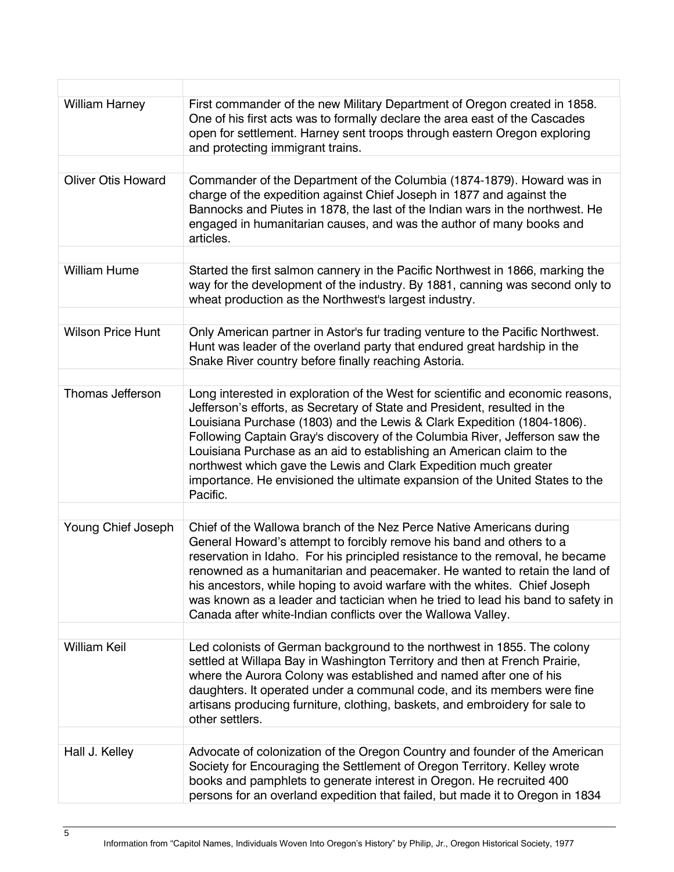| <b>William Harney</b>     | First commander of the new Military Department of Oregon created in 1858.<br>One of his first acts was to formally declare the area east of the Cascades<br>open for settlement. Harney sent troops through eastern Oregon exploring<br>and protecting immigrant trains.                                                                                                                                                                                                                                                                                        |
|---------------------------|-----------------------------------------------------------------------------------------------------------------------------------------------------------------------------------------------------------------------------------------------------------------------------------------------------------------------------------------------------------------------------------------------------------------------------------------------------------------------------------------------------------------------------------------------------------------|
|                           |                                                                                                                                                                                                                                                                                                                                                                                                                                                                                                                                                                 |
| <b>Oliver Otis Howard</b> | Commander of the Department of the Columbia (1874-1879). Howard was in<br>charge of the expedition against Chief Joseph in 1877 and against the<br>Bannocks and Piutes in 1878, the last of the Indian wars in the northwest. He<br>engaged in humanitarian causes, and was the author of many books and<br>articles.                                                                                                                                                                                                                                           |
|                           |                                                                                                                                                                                                                                                                                                                                                                                                                                                                                                                                                                 |
| <b>William Hume</b>       | Started the first salmon cannery in the Pacific Northwest in 1866, marking the<br>way for the development of the industry. By 1881, canning was second only to<br>wheat production as the Northwest's largest industry.                                                                                                                                                                                                                                                                                                                                         |
|                           |                                                                                                                                                                                                                                                                                                                                                                                                                                                                                                                                                                 |
| <b>Wilson Price Hunt</b>  | Only American partner in Astor's fur trading venture to the Pacific Northwest.<br>Hunt was leader of the overland party that endured great hardship in the<br>Snake River country before finally reaching Astoria.                                                                                                                                                                                                                                                                                                                                              |
|                           |                                                                                                                                                                                                                                                                                                                                                                                                                                                                                                                                                                 |
| Thomas Jefferson          | Long interested in exploration of the West for scientific and economic reasons,<br>Jefferson's efforts, as Secretary of State and President, resulted in the<br>Louisiana Purchase (1803) and the Lewis & Clark Expedition (1804-1806).<br>Following Captain Gray's discovery of the Columbia River, Jefferson saw the<br>Louisiana Purchase as an aid to establishing an American claim to the<br>northwest which gave the Lewis and Clark Expedition much greater<br>importance. He envisioned the ultimate expansion of the United States to the<br>Pacific. |
|                           |                                                                                                                                                                                                                                                                                                                                                                                                                                                                                                                                                                 |
| Young Chief Joseph        | Chief of the Wallowa branch of the Nez Perce Native Americans during<br>General Howard's attempt to forcibly remove his band and others to a<br>reservation in Idaho. For his principled resistance to the removal, he became<br>renowned as a humanitarian and peacemaker. He wanted to retain the land of<br>his ancestors, while hoping to avoid warfare with the whites. Chief Joseph<br>was known as a leader and tactician when he tried to lead his band to safety in<br>Canada after white-Indian conflicts over the Wallowa Valley.                    |
|                           |                                                                                                                                                                                                                                                                                                                                                                                                                                                                                                                                                                 |
| <b>William Keil</b>       | Led colonists of German background to the northwest in 1855. The colony<br>settled at Willapa Bay in Washington Territory and then at French Prairie,<br>where the Aurora Colony was established and named after one of his<br>daughters. It operated under a communal code, and its members were fine<br>artisans producing furniture, clothing, baskets, and embroidery for sale to<br>other settlers.                                                                                                                                                        |
|                           |                                                                                                                                                                                                                                                                                                                                                                                                                                                                                                                                                                 |
| Hall J. Kelley            | Advocate of colonization of the Oregon Country and founder of the American<br>Society for Encouraging the Settlement of Oregon Territory. Kelley wrote<br>books and pamphlets to generate interest in Oregon. He recruited 400<br>persons for an overland expedition that failed, but made it to Oregon in 1834                                                                                                                                                                                                                                                 |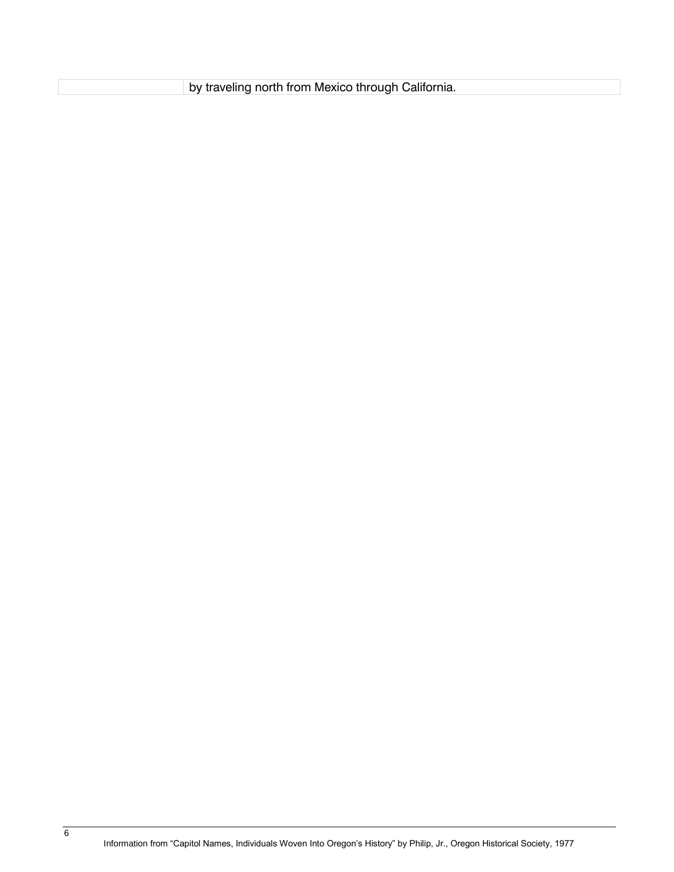by traveling north from Mexico through California.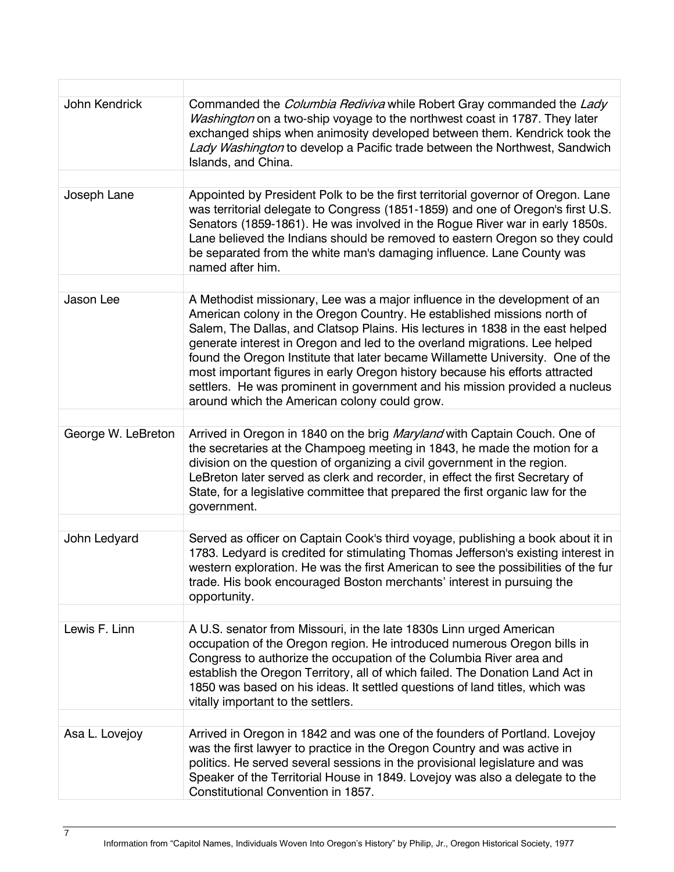| John Kendrick      | Commanded the <i>Columbia Rediviva</i> while Robert Gray commanded the Lady<br>Washington on a two-ship voyage to the northwest coast in 1787. They later<br>exchanged ships when animosity developed between them. Kendrick took the<br>Lady Washington to develop a Pacific trade between the Northwest, Sandwich<br>Islands, and China.                                                                                                                                                                                                                                                                             |
|--------------------|------------------------------------------------------------------------------------------------------------------------------------------------------------------------------------------------------------------------------------------------------------------------------------------------------------------------------------------------------------------------------------------------------------------------------------------------------------------------------------------------------------------------------------------------------------------------------------------------------------------------|
| Joseph Lane        | Appointed by President Polk to be the first territorial governor of Oregon. Lane                                                                                                                                                                                                                                                                                                                                                                                                                                                                                                                                       |
|                    | was territorial delegate to Congress (1851-1859) and one of Oregon's first U.S.<br>Senators (1859-1861). He was involved in the Rogue River war in early 1850s.<br>Lane believed the Indians should be removed to eastern Oregon so they could<br>be separated from the white man's damaging influence. Lane County was<br>named after him.                                                                                                                                                                                                                                                                            |
|                    |                                                                                                                                                                                                                                                                                                                                                                                                                                                                                                                                                                                                                        |
| Jason Lee          | A Methodist missionary, Lee was a major influence in the development of an<br>American colony in the Oregon Country. He established missions north of<br>Salem, The Dallas, and Clatsop Plains. His lectures in 1838 in the east helped<br>generate interest in Oregon and led to the overland migrations. Lee helped<br>found the Oregon Institute that later became Willamette University. One of the<br>most important figures in early Oregon history because his efforts attracted<br>settlers. He was prominent in government and his mission provided a nucleus<br>around which the American colony could grow. |
|                    |                                                                                                                                                                                                                                                                                                                                                                                                                                                                                                                                                                                                                        |
| George W. LeBreton | Arrived in Oregon in 1840 on the brig Maryland with Captain Couch. One of<br>the secretaries at the Champoeg meeting in 1843, he made the motion for a<br>division on the question of organizing a civil government in the region.<br>LeBreton later served as clerk and recorder, in effect the first Secretary of<br>State, for a legislative committee that prepared the first organic law for the<br>government.                                                                                                                                                                                                   |
|                    |                                                                                                                                                                                                                                                                                                                                                                                                                                                                                                                                                                                                                        |
| John Ledyard       | Served as officer on Captain Cook's third voyage, publishing a book about it in<br>1783. Ledyard is credited for stimulating Thomas Jefferson's existing interest in<br>western exploration. He was the first American to see the possibilities of the fur<br>trade. His book encouraged Boston merchants' interest in pursuing the<br>opportunity.                                                                                                                                                                                                                                                                    |
|                    |                                                                                                                                                                                                                                                                                                                                                                                                                                                                                                                                                                                                                        |
| Lewis F. Linn      | A U.S. senator from Missouri, in the late 1830s Linn urged American<br>occupation of the Oregon region. He introduced numerous Oregon bills in<br>Congress to authorize the occupation of the Columbia River area and<br>establish the Oregon Territory, all of which failed. The Donation Land Act in<br>1850 was based on his ideas. It settled questions of land titles, which was<br>vitally important to the settlers.                                                                                                                                                                                            |
|                    |                                                                                                                                                                                                                                                                                                                                                                                                                                                                                                                                                                                                                        |
| Asa L. Lovejoy     | Arrived in Oregon in 1842 and was one of the founders of Portland. Lovejoy<br>was the first lawyer to practice in the Oregon Country and was active in<br>politics. He served several sessions in the provisional legislature and was<br>Speaker of the Territorial House in 1849. Lovejoy was also a delegate to the<br>Constitutional Convention in 1857.                                                                                                                                                                                                                                                            |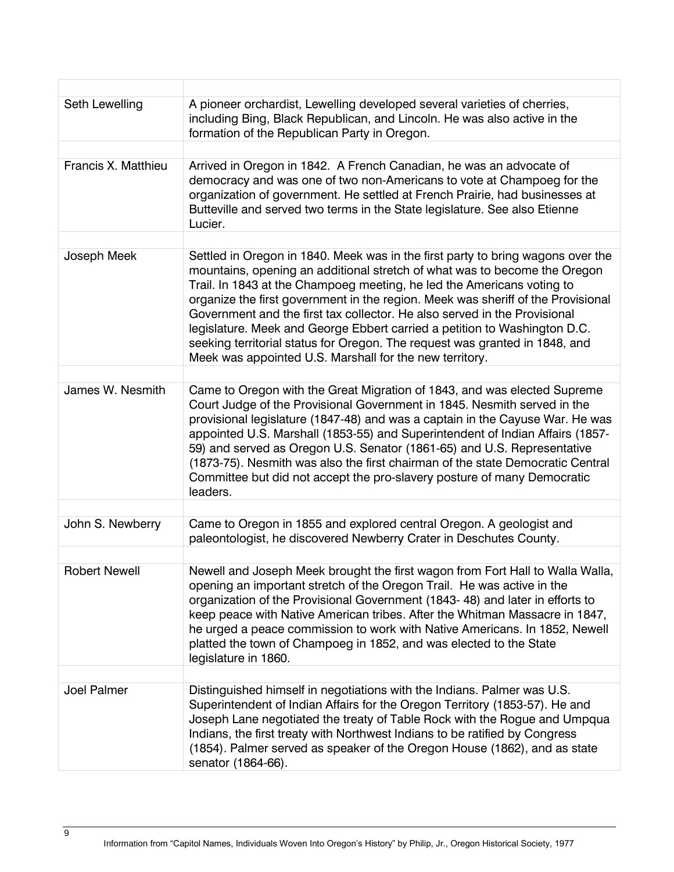| Seth Lewelling       | A pioneer orchardist, Lewelling developed several varieties of cherries,<br>including Bing, Black Republican, and Lincoln. He was also active in the<br>formation of the Republican Party in Oregon.                                                                                                                                                                                                                                                                                                                                                                                                                           |
|----------------------|--------------------------------------------------------------------------------------------------------------------------------------------------------------------------------------------------------------------------------------------------------------------------------------------------------------------------------------------------------------------------------------------------------------------------------------------------------------------------------------------------------------------------------------------------------------------------------------------------------------------------------|
|                      |                                                                                                                                                                                                                                                                                                                                                                                                                                                                                                                                                                                                                                |
| Francis X. Matthieu  | Arrived in Oregon in 1842. A French Canadian, he was an advocate of<br>democracy and was one of two non-Americans to vote at Champoeg for the<br>organization of government. He settled at French Prairie, had businesses at<br>Butteville and served two terms in the State legislature. See also Etienne<br>Lucier.                                                                                                                                                                                                                                                                                                          |
|                      |                                                                                                                                                                                                                                                                                                                                                                                                                                                                                                                                                                                                                                |
| Joseph Meek          | Settled in Oregon in 1840. Meek was in the first party to bring wagons over the<br>mountains, opening an additional stretch of what was to become the Oregon<br>Trail. In 1843 at the Champoeg meeting, he led the Americans voting to<br>organize the first government in the region. Meek was sheriff of the Provisional<br>Government and the first tax collector. He also served in the Provisional<br>legislature. Meek and George Ebbert carried a petition to Washington D.C.<br>seeking territorial status for Oregon. The request was granted in 1848, and<br>Meek was appointed U.S. Marshall for the new territory. |
|                      |                                                                                                                                                                                                                                                                                                                                                                                                                                                                                                                                                                                                                                |
| James W. Nesmith     | Came to Oregon with the Great Migration of 1843, and was elected Supreme<br>Court Judge of the Provisional Government in 1845. Nesmith served in the<br>provisional legislature (1847-48) and was a captain in the Cayuse War. He was<br>appointed U.S. Marshall (1853-55) and Superintendent of Indian Affairs (1857-<br>59) and served as Oregon U.S. Senator (1861-65) and U.S. Representative<br>(1873-75). Nesmith was also the first chairman of the state Democratic Central<br>Committee but did not accept the pro-slavery posture of many Democratic<br>leaders.                                                     |
|                      |                                                                                                                                                                                                                                                                                                                                                                                                                                                                                                                                                                                                                                |
| John S. Newberry     | Came to Oregon in 1855 and explored central Oregon. A geologist and<br>paleontologist, he discovered Newberry Crater in Deschutes County.                                                                                                                                                                                                                                                                                                                                                                                                                                                                                      |
| <b>Robert Newell</b> | Newell and Joseph Meek brought the first wagon from Fort Hall to Walla Walla,<br>opening an important stretch of the Oregon Trail. He was active in the<br>organization of the Provisional Government (1843-48) and later in efforts to<br>keep peace with Native American tribes. After the Whitman Massacre in 1847,<br>he urged a peace commission to work with Native Americans. In 1852, Newell<br>platted the town of Champoeg in 1852, and was elected to the State<br>legislature in 1860.                                                                                                                             |
|                      |                                                                                                                                                                                                                                                                                                                                                                                                                                                                                                                                                                                                                                |
| <b>Joel Palmer</b>   | Distinguished himself in negotiations with the Indians. Palmer was U.S.<br>Superintendent of Indian Affairs for the Oregon Territory (1853-57). He and<br>Joseph Lane negotiated the treaty of Table Rock with the Rogue and Umpqua<br>Indians, the first treaty with Northwest Indians to be ratified by Congress<br>(1854). Palmer served as speaker of the Oregon House (1862), and as state<br>senator (1864-66).                                                                                                                                                                                                          |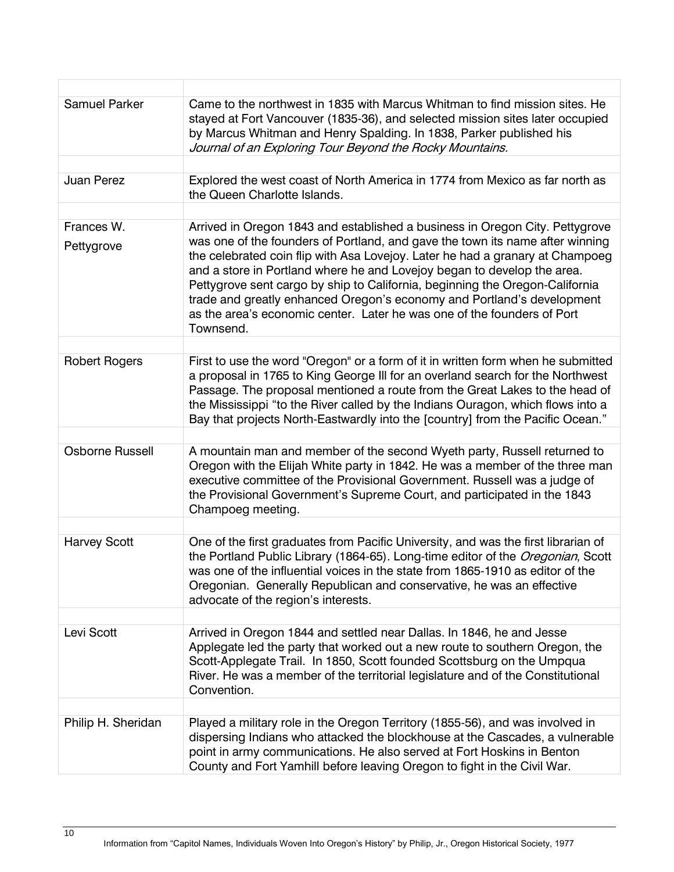| <b>Samuel Parker</b>     | Came to the northwest in 1835 with Marcus Whitman to find mission sites. He<br>stayed at Fort Vancouver (1835-36), and selected mission sites later occupied<br>by Marcus Whitman and Henry Spalding. In 1838, Parker published his<br>Journal of an Exploring Tour Beyond the Rocky Mountains.                                                                                                                                                                                                                                                                             |
|--------------------------|-----------------------------------------------------------------------------------------------------------------------------------------------------------------------------------------------------------------------------------------------------------------------------------------------------------------------------------------------------------------------------------------------------------------------------------------------------------------------------------------------------------------------------------------------------------------------------|
|                          |                                                                                                                                                                                                                                                                                                                                                                                                                                                                                                                                                                             |
| Juan Perez               | Explored the west coast of North America in 1774 from Mexico as far north as<br>the Queen Charlotte Islands.                                                                                                                                                                                                                                                                                                                                                                                                                                                                |
|                          |                                                                                                                                                                                                                                                                                                                                                                                                                                                                                                                                                                             |
| Frances W.<br>Pettygrove | Arrived in Oregon 1843 and established a business in Oregon City. Pettygrove<br>was one of the founders of Portland, and gave the town its name after winning<br>the celebrated coin flip with Asa Lovejoy. Later he had a granary at Champoeg<br>and a store in Portland where he and Lovejoy began to develop the area.<br>Pettygrove sent cargo by ship to California, beginning the Oregon-California<br>trade and greatly enhanced Oregon's economy and Portland's development<br>as the area's economic center. Later he was one of the founders of Port<br>Townsend. |
|                          |                                                                                                                                                                                                                                                                                                                                                                                                                                                                                                                                                                             |
| <b>Robert Rogers</b>     | First to use the word "Oregon" or a form of it in written form when he submitted<br>a proposal in 1765 to King George III for an overland search for the Northwest<br>Passage. The proposal mentioned a route from the Great Lakes to the head of<br>the Mississippi "to the River called by the Indians Ouragon, which flows into a<br>Bay that projects North-Eastwardly into the [country] from the Pacific Ocean."                                                                                                                                                      |
|                          |                                                                                                                                                                                                                                                                                                                                                                                                                                                                                                                                                                             |
| <b>Osborne Russell</b>   | A mountain man and member of the second Wyeth party, Russell returned to<br>Oregon with the Elijah White party in 1842. He was a member of the three man<br>executive committee of the Provisional Government. Russell was a judge of<br>the Provisional Government's Supreme Court, and participated in the 1843<br>Champoeg meeting.                                                                                                                                                                                                                                      |
|                          |                                                                                                                                                                                                                                                                                                                                                                                                                                                                                                                                                                             |
| <b>Harvey Scott</b>      | One of the first graduates from Pacific University, and was the first librarian of<br>the Portland Public Library (1864-65). Long-time editor of the Oregonian, Scott<br>was one of the influential voices in the state from 1865-1910 as editor of the<br>Oregonian. Generally Republican and conservative, he was an effective<br>advocate of the region's interests.                                                                                                                                                                                                     |
|                          |                                                                                                                                                                                                                                                                                                                                                                                                                                                                                                                                                                             |
| Levi Scott               | Arrived in Oregon 1844 and settled near Dallas. In 1846, he and Jesse<br>Applegate led the party that worked out a new route to southern Oregon, the<br>Scott-Applegate Trail. In 1850, Scott founded Scottsburg on the Umpqua<br>River. He was a member of the territorial legislature and of the Constitutional<br>Convention.                                                                                                                                                                                                                                            |
|                          |                                                                                                                                                                                                                                                                                                                                                                                                                                                                                                                                                                             |
| Philip H. Sheridan       | Played a military role in the Oregon Territory (1855-56), and was involved in<br>dispersing Indians who attacked the blockhouse at the Cascades, a vulnerable<br>point in army communications. He also served at Fort Hoskins in Benton<br>County and Fort Yamhill before leaving Oregon to fight in the Civil War.                                                                                                                                                                                                                                                         |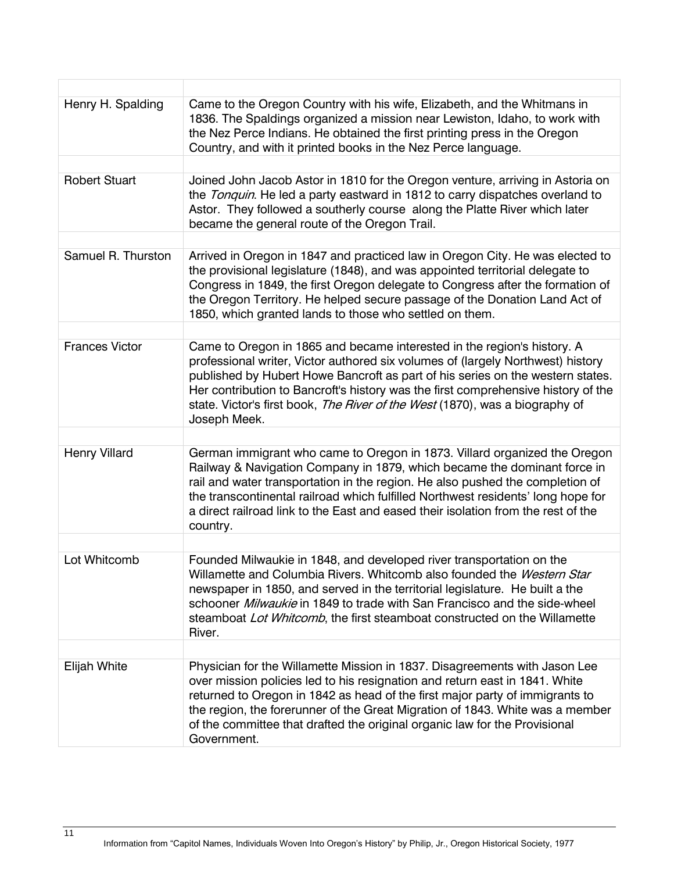| Henry H. Spalding     | Came to the Oregon Country with his wife, Elizabeth, and the Whitmans in<br>1836. The Spaldings organized a mission near Lewiston, Idaho, to work with<br>the Nez Perce Indians. He obtained the first printing press in the Oregon<br>Country, and with it printed books in the Nez Perce language.                                                                                                                              |
|-----------------------|-----------------------------------------------------------------------------------------------------------------------------------------------------------------------------------------------------------------------------------------------------------------------------------------------------------------------------------------------------------------------------------------------------------------------------------|
|                       |                                                                                                                                                                                                                                                                                                                                                                                                                                   |
| <b>Robert Stuart</b>  | Joined John Jacob Astor in 1810 for the Oregon venture, arriving in Astoria on<br>the Tonquin. He led a party eastward in 1812 to carry dispatches overland to<br>Astor. They followed a southerly course along the Platte River which later<br>became the general route of the Oregon Trail.                                                                                                                                     |
|                       |                                                                                                                                                                                                                                                                                                                                                                                                                                   |
| Samuel R. Thurston    | Arrived in Oregon in 1847 and practiced law in Oregon City. He was elected to<br>the provisional legislature (1848), and was appointed territorial delegate to<br>Congress in 1849, the first Oregon delegate to Congress after the formation of<br>the Oregon Territory. He helped secure passage of the Donation Land Act of<br>1850, which granted lands to those who settled on them.                                         |
|                       |                                                                                                                                                                                                                                                                                                                                                                                                                                   |
| <b>Frances Victor</b> | Came to Oregon in 1865 and became interested in the region's history. A<br>professional writer, Victor authored six volumes of (largely Northwest) history<br>published by Hubert Howe Bancroft as part of his series on the western states.<br>Her contribution to Bancroft's history was the first comprehensive history of the<br>state. Victor's first book, The River of the West (1870), was a biography of<br>Joseph Meek. |
|                       |                                                                                                                                                                                                                                                                                                                                                                                                                                   |
| <b>Henry Villard</b>  | German immigrant who came to Oregon in 1873. Villard organized the Oregon<br>Railway & Navigation Company in 1879, which became the dominant force in<br>rail and water transportation in the region. He also pushed the completion of<br>the transcontinental railroad which fulfilled Northwest residents' long hope for<br>a direct railroad link to the East and eased their isolation from the rest of the<br>country.       |
|                       |                                                                                                                                                                                                                                                                                                                                                                                                                                   |
| Lot Whitcomb          | Founded Milwaukie in 1848, and developed river transportation on the<br>Willamette and Columbia Rivers. Whitcomb also founded the Western Star<br>newspaper in 1850, and served in the territorial legislature. He built a the<br>schooner <i>Milwaukie</i> in 1849 to trade with San Francisco and the side-wheel<br>steamboat Lot Whitcomb, the first steamboat constructed on the Willamette<br>River.                         |
|                       |                                                                                                                                                                                                                                                                                                                                                                                                                                   |
| <b>Elijah White</b>   | Physician for the Willamette Mission in 1837. Disagreements with Jason Lee<br>over mission policies led to his resignation and return east in 1841. White<br>returned to Oregon in 1842 as head of the first major party of immigrants to<br>the region, the forerunner of the Great Migration of 1843. White was a member<br>of the committee that drafted the original organic law for the Provisional<br>Government.           |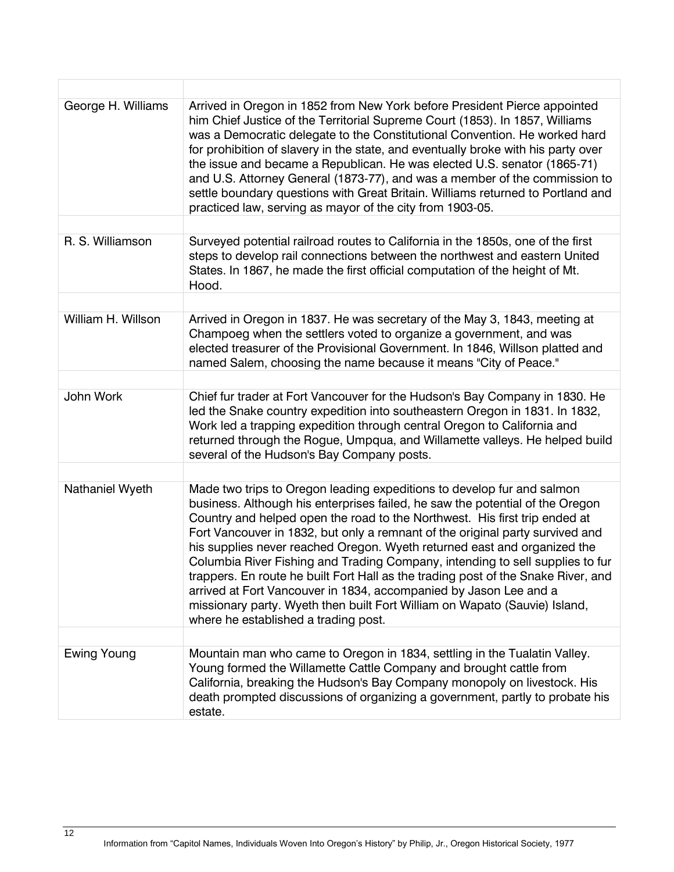| George H. Williams | Arrived in Oregon in 1852 from New York before President Pierce appointed<br>him Chief Justice of the Territorial Supreme Court (1853). In 1857, Williams<br>was a Democratic delegate to the Constitutional Convention. He worked hard<br>for prohibition of slavery in the state, and eventually broke with his party over<br>the issue and became a Republican. He was elected U.S. senator (1865-71)<br>and U.S. Attorney General (1873-77), and was a member of the commission to<br>settle boundary questions with Great Britain. Williams returned to Portland and<br>practiced law, serving as mayor of the city from 1903-05.                                                                                                                              |
|--------------------|---------------------------------------------------------------------------------------------------------------------------------------------------------------------------------------------------------------------------------------------------------------------------------------------------------------------------------------------------------------------------------------------------------------------------------------------------------------------------------------------------------------------------------------------------------------------------------------------------------------------------------------------------------------------------------------------------------------------------------------------------------------------|
|                    |                                                                                                                                                                                                                                                                                                                                                                                                                                                                                                                                                                                                                                                                                                                                                                     |
| R. S. Williamson   | Surveyed potential railroad routes to California in the 1850s, one of the first<br>steps to develop rail connections between the northwest and eastern United<br>States. In 1867, he made the first official computation of the height of Mt.<br>Hood.                                                                                                                                                                                                                                                                                                                                                                                                                                                                                                              |
|                    |                                                                                                                                                                                                                                                                                                                                                                                                                                                                                                                                                                                                                                                                                                                                                                     |
| William H. Willson | Arrived in Oregon in 1837. He was secretary of the May 3, 1843, meeting at<br>Champoeg when the settlers voted to organize a government, and was<br>elected treasurer of the Provisional Government. In 1846, Willson platted and<br>named Salem, choosing the name because it means "City of Peace."                                                                                                                                                                                                                                                                                                                                                                                                                                                               |
|                    |                                                                                                                                                                                                                                                                                                                                                                                                                                                                                                                                                                                                                                                                                                                                                                     |
| John Work          | Chief fur trader at Fort Vancouver for the Hudson's Bay Company in 1830. He<br>led the Snake country expedition into southeastern Oregon in 1831. In 1832,<br>Work led a trapping expedition through central Oregon to California and<br>returned through the Rogue, Umpqua, and Willamette valleys. He helped build<br>several of the Hudson's Bay Company posts.                                                                                                                                                                                                                                                                                                                                                                                                  |
|                    |                                                                                                                                                                                                                                                                                                                                                                                                                                                                                                                                                                                                                                                                                                                                                                     |
| Nathaniel Wyeth    | Made two trips to Oregon leading expeditions to develop fur and salmon<br>business. Although his enterprises failed, he saw the potential of the Oregon<br>Country and helped open the road to the Northwest. His first trip ended at<br>Fort Vancouver in 1832, but only a remnant of the original party survived and<br>his supplies never reached Oregon. Wyeth returned east and organized the<br>Columbia River Fishing and Trading Company, intending to sell supplies to fur<br>trappers. En route he built Fort Hall as the trading post of the Snake River, and<br>arrived at Fort Vancouver in 1834, accompanied by Jason Lee and a<br>missionary party. Wyeth then built Fort William on Wapato (Sauvie) Island,<br>where he established a trading post. |
|                    |                                                                                                                                                                                                                                                                                                                                                                                                                                                                                                                                                                                                                                                                                                                                                                     |
| Ewing Young        | Mountain man who came to Oregon in 1834, settling in the Tualatin Valley.<br>Young formed the Willamette Cattle Company and brought cattle from<br>California, breaking the Hudson's Bay Company monopoly on livestock. His<br>death prompted discussions of organizing a government, partly to probate his<br>estate.                                                                                                                                                                                                                                                                                                                                                                                                                                              |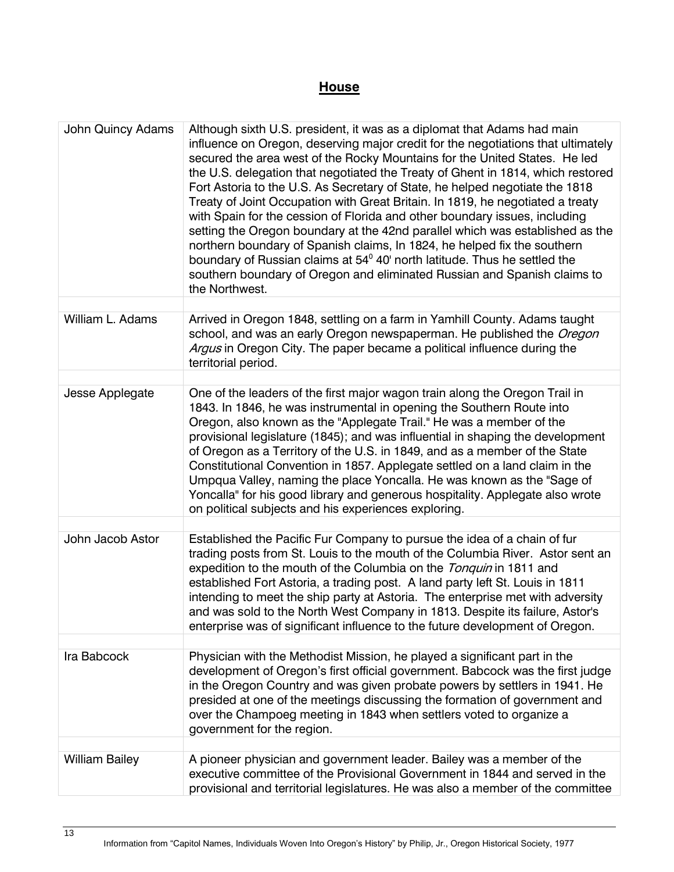## **House**

| <b>John Quincy Adams</b> | Although sixth U.S. president, it was as a diplomat that Adams had main<br>influence on Oregon, deserving major credit for the negotiations that ultimately<br>secured the area west of the Rocky Mountains for the United States. He led<br>the U.S. delegation that negotiated the Treaty of Ghent in 1814, which restored<br>Fort Astoria to the U.S. As Secretary of State, he helped negotiate the 1818<br>Treaty of Joint Occupation with Great Britain. In 1819, he negotiated a treaty<br>with Spain for the cession of Florida and other boundary issues, including<br>setting the Oregon boundary at the 42nd parallel which was established as the<br>northern boundary of Spanish claims, In 1824, he helped fix the southern<br>boundary of Russian claims at 54 <sup>°</sup> 40' north latitude. Thus he settled the<br>southern boundary of Oregon and eliminated Russian and Spanish claims to<br>the Northwest. |
|--------------------------|----------------------------------------------------------------------------------------------------------------------------------------------------------------------------------------------------------------------------------------------------------------------------------------------------------------------------------------------------------------------------------------------------------------------------------------------------------------------------------------------------------------------------------------------------------------------------------------------------------------------------------------------------------------------------------------------------------------------------------------------------------------------------------------------------------------------------------------------------------------------------------------------------------------------------------|
|                          |                                                                                                                                                                                                                                                                                                                                                                                                                                                                                                                                                                                                                                                                                                                                                                                                                                                                                                                                  |
| William L. Adams         | Arrived in Oregon 1848, settling on a farm in Yamhill County. Adams taught<br>school, and was an early Oregon newspaperman. He published the Oregon<br>Argus in Oregon City. The paper became a political influence during the<br>territorial period.                                                                                                                                                                                                                                                                                                                                                                                                                                                                                                                                                                                                                                                                            |
|                          |                                                                                                                                                                                                                                                                                                                                                                                                                                                                                                                                                                                                                                                                                                                                                                                                                                                                                                                                  |
| Jesse Applegate          | One of the leaders of the first major wagon train along the Oregon Trail in<br>1843. In 1846, he was instrumental in opening the Southern Route into<br>Oregon, also known as the "Applegate Trail." He was a member of the<br>provisional legislature (1845); and was influential in shaping the development<br>of Oregon as a Territory of the U.S. in 1849, and as a member of the State<br>Constitutional Convention in 1857. Applegate settled on a land claim in the<br>Umpqua Valley, naming the place Yoncalla. He was known as the "Sage of<br>Yoncalla" for his good library and generous hospitality. Applegate also wrote<br>on political subjects and his experiences exploring.                                                                                                                                                                                                                                    |
|                          |                                                                                                                                                                                                                                                                                                                                                                                                                                                                                                                                                                                                                                                                                                                                                                                                                                                                                                                                  |
| John Jacob Astor         | Established the Pacific Fur Company to pursue the idea of a chain of fur<br>trading posts from St. Louis to the mouth of the Columbia River. Astor sent an<br>expedition to the mouth of the Columbia on the Tonquin in 1811 and<br>established Fort Astoria, a trading post. A land party left St. Louis in 1811<br>intending to meet the ship party at Astoria. The enterprise met with adversity<br>and was sold to the North West Company in 1813. Despite its failure, Astor's<br>enterprise was of significant influence to the future development of Oregon.                                                                                                                                                                                                                                                                                                                                                              |
|                          |                                                                                                                                                                                                                                                                                                                                                                                                                                                                                                                                                                                                                                                                                                                                                                                                                                                                                                                                  |
| Ira Babcock              | Physician with the Methodist Mission, he played a significant part in the<br>development of Oregon's first official government. Babcock was the first judge<br>in the Oregon Country and was given probate powers by settlers in 1941. He<br>presided at one of the meetings discussing the formation of government and<br>over the Champoeg meeting in 1843 when settlers voted to organize a<br>government for the region.                                                                                                                                                                                                                                                                                                                                                                                                                                                                                                     |
|                          |                                                                                                                                                                                                                                                                                                                                                                                                                                                                                                                                                                                                                                                                                                                                                                                                                                                                                                                                  |
| <b>William Bailey</b>    | A pioneer physician and government leader. Bailey was a member of the<br>executive committee of the Provisional Government in 1844 and served in the<br>provisional and territorial legislatures. He was also a member of the committee                                                                                                                                                                                                                                                                                                                                                                                                                                                                                                                                                                                                                                                                                          |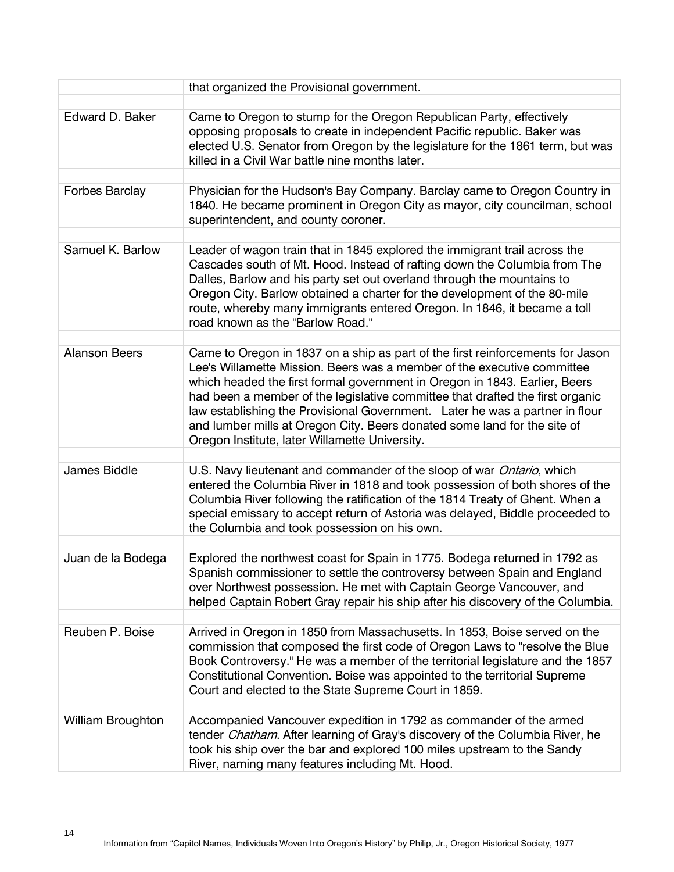|                          | that organized the Provisional government.                                                                                                                                                                                                                                                                                                                                                                                                                                                                                             |
|--------------------------|----------------------------------------------------------------------------------------------------------------------------------------------------------------------------------------------------------------------------------------------------------------------------------------------------------------------------------------------------------------------------------------------------------------------------------------------------------------------------------------------------------------------------------------|
|                          |                                                                                                                                                                                                                                                                                                                                                                                                                                                                                                                                        |
| Edward D. Baker          | Came to Oregon to stump for the Oregon Republican Party, effectively<br>opposing proposals to create in independent Pacific republic. Baker was<br>elected U.S. Senator from Oregon by the legislature for the 1861 term, but was<br>killed in a Civil War battle nine months later.                                                                                                                                                                                                                                                   |
| <b>Forbes Barclay</b>    | Physician for the Hudson's Bay Company. Barclay came to Oregon Country in<br>1840. He became prominent in Oregon City as mayor, city councilman, school<br>superintendent, and county coroner.                                                                                                                                                                                                                                                                                                                                         |
|                          |                                                                                                                                                                                                                                                                                                                                                                                                                                                                                                                                        |
| Samuel K. Barlow         | Leader of wagon train that in 1845 explored the immigrant trail across the<br>Cascades south of Mt. Hood. Instead of rafting down the Columbia from The<br>Dalles, Barlow and his party set out overland through the mountains to<br>Oregon City. Barlow obtained a charter for the development of the 80-mile<br>route, whereby many immigrants entered Oregon. In 1846, it became a toll<br>road known as the "Barlow Road."                                                                                                         |
|                          |                                                                                                                                                                                                                                                                                                                                                                                                                                                                                                                                        |
| <b>Alanson Beers</b>     | Came to Oregon in 1837 on a ship as part of the first reinforcements for Jason<br>Lee's Willamette Mission. Beers was a member of the executive committee<br>which headed the first formal government in Oregon in 1843. Earlier, Beers<br>had been a member of the legislative committee that drafted the first organic<br>law establishing the Provisional Government. Later he was a partner in flour<br>and lumber mills at Oregon City. Beers donated some land for the site of<br>Oregon Institute, later Willamette University. |
|                          |                                                                                                                                                                                                                                                                                                                                                                                                                                                                                                                                        |
| James Biddle             | U.S. Navy lieutenant and commander of the sloop of war Ontario, which<br>entered the Columbia River in 1818 and took possession of both shores of the<br>Columbia River following the ratification of the 1814 Treaty of Ghent. When a<br>special emissary to accept return of Astoria was delayed, Biddle proceeded to<br>the Columbia and took possession on his own.                                                                                                                                                                |
|                          |                                                                                                                                                                                                                                                                                                                                                                                                                                                                                                                                        |
| Juan de la Bodega        | Explored the northwest coast for Spain in 1775. Bodega returned in 1792 as<br>Spanish commissioner to settle the controversy between Spain and England<br>over Northwest possession. He met with Captain George Vancouver, and<br>helped Captain Robert Gray repair his ship after his discovery of the Columbia.                                                                                                                                                                                                                      |
| Reuben P. Boise          | Arrived in Oregon in 1850 from Massachusetts. In 1853, Boise served on the<br>commission that composed the first code of Oregon Laws to "resolve the Blue<br>Book Controversy." He was a member of the territorial legislature and the 1857<br>Constitutional Convention. Boise was appointed to the territorial Supreme<br>Court and elected to the State Supreme Court in 1859.                                                                                                                                                      |
| <b>William Broughton</b> | Accompanied Vancouver expedition in 1792 as commander of the armed                                                                                                                                                                                                                                                                                                                                                                                                                                                                     |
|                          | tender Chatham. After learning of Gray's discovery of the Columbia River, he<br>took his ship over the bar and explored 100 miles upstream to the Sandy<br>River, naming many features including Mt. Hood.                                                                                                                                                                                                                                                                                                                             |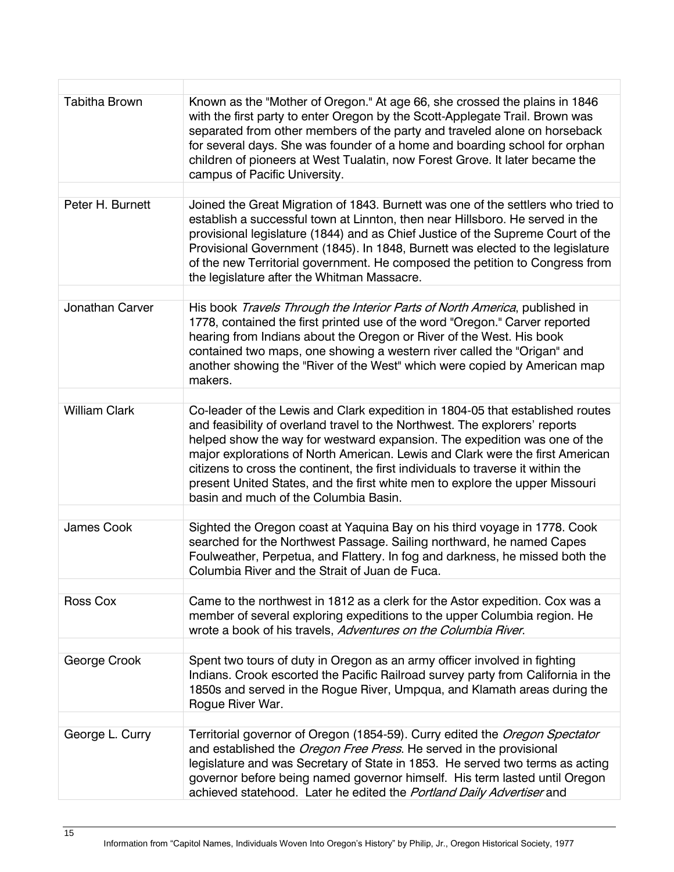| <b>Tabitha Brown</b> | Known as the "Mother of Oregon." At age 66, she crossed the plains in 1846<br>with the first party to enter Oregon by the Scott-Applegate Trail. Brown was<br>separated from other members of the party and traveled alone on horseback<br>for several days. She was founder of a home and boarding school for orphan<br>children of pioneers at West Tualatin, now Forest Grove. It later became the<br>campus of Pacific University.                                                                                                   |
|----------------------|------------------------------------------------------------------------------------------------------------------------------------------------------------------------------------------------------------------------------------------------------------------------------------------------------------------------------------------------------------------------------------------------------------------------------------------------------------------------------------------------------------------------------------------|
| Peter H. Burnett     | Joined the Great Migration of 1843. Burnett was one of the settlers who tried to<br>establish a successful town at Linnton, then near Hillsboro. He served in the<br>provisional legislature (1844) and as Chief Justice of the Supreme Court of the<br>Provisional Government (1845). In 1848, Burnett was elected to the legislature<br>of the new Territorial government. He composed the petition to Congress from<br>the legislature after the Whitman Massacre.                                                                    |
| Jonathan Carver      | His book Travels Through the Interior Parts of North America, published in<br>1778, contained the first printed use of the word "Oregon." Carver reported<br>hearing from Indians about the Oregon or River of the West. His book<br>contained two maps, one showing a western river called the "Origan" and                                                                                                                                                                                                                             |
|                      | another showing the "River of the West" which were copied by American map<br>makers.                                                                                                                                                                                                                                                                                                                                                                                                                                                     |
| <b>William Clark</b> | Co-leader of the Lewis and Clark expedition in 1804-05 that established routes<br>and feasibility of overland travel to the Northwest. The explorers' reports<br>helped show the way for westward expansion. The expedition was one of the<br>major explorations of North American. Lewis and Clark were the first American<br>citizens to cross the continent, the first individuals to traverse it within the<br>present United States, and the first white men to explore the upper Missouri<br>basin and much of the Columbia Basin. |
| James Cook           | Sighted the Oregon coast at Yaquina Bay on his third voyage in 1778. Cook<br>searched for the Northwest Passage. Sailing northward, he named Capes<br>Foulweather, Perpetua, and Flattery. In fog and darkness, he missed both the<br>Columbia River and the Strait of Juan de Fuca.                                                                                                                                                                                                                                                     |
| <b>Ross Cox</b>      | Came to the northwest in 1812 as a clerk for the Astor expedition. Cox was a<br>member of several exploring expeditions to the upper Columbia region. He<br>wrote a book of his travels, Adventures on the Columbia River.                                                                                                                                                                                                                                                                                                               |
| George Crook         | Spent two tours of duty in Oregon as an army officer involved in fighting<br>Indians. Crook escorted the Pacific Railroad survey party from California in the<br>1850s and served in the Rogue River, Umpqua, and Klamath areas during the<br>Rogue River War.                                                                                                                                                                                                                                                                           |
| George L. Curry      | Territorial governor of Oregon (1854-59). Curry edited the Oregon Spectator<br>and established the <i>Oregon Free Press</i> . He served in the provisional<br>legislature and was Secretary of State in 1853. He served two terms as acting<br>governor before being named governor himself. His term lasted until Oregon<br>achieved statehood. Later he edited the Portland Daily Advertiser and                                                                                                                                       |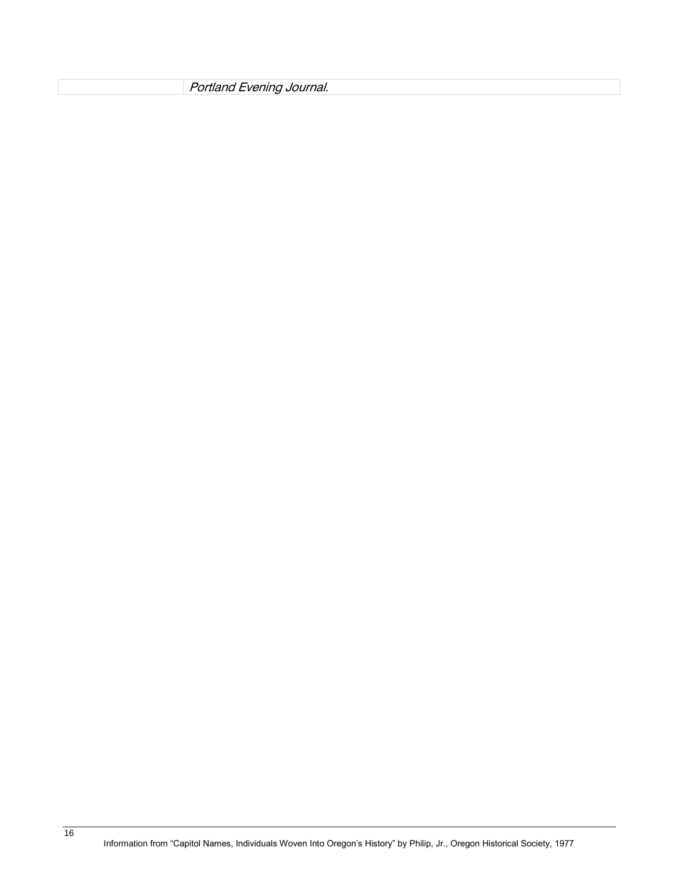Portland Evening Journal.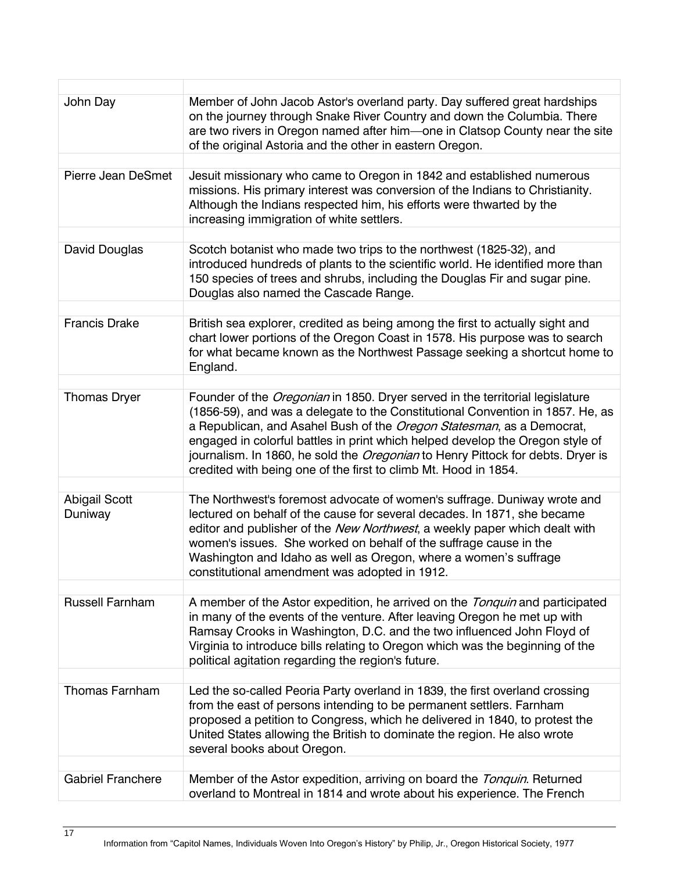| John Day                        | Member of John Jacob Astor's overland party. Day suffered great hardships                                                                                                                                                                                                                                                                                                                                                                                                              |
|---------------------------------|----------------------------------------------------------------------------------------------------------------------------------------------------------------------------------------------------------------------------------------------------------------------------------------------------------------------------------------------------------------------------------------------------------------------------------------------------------------------------------------|
|                                 | on the journey through Snake River Country and down the Columbia. There<br>are two rivers in Oregon named after him-one in Clatsop County near the site<br>of the original Astoria and the other in eastern Oregon.                                                                                                                                                                                                                                                                    |
|                                 |                                                                                                                                                                                                                                                                                                                                                                                                                                                                                        |
| <b>Pierre Jean DeSmet</b>       | Jesuit missionary who came to Oregon in 1842 and established numerous<br>missions. His primary interest was conversion of the Indians to Christianity.<br>Although the Indians respected him, his efforts were thwarted by the<br>increasing immigration of white settlers.                                                                                                                                                                                                            |
|                                 |                                                                                                                                                                                                                                                                                                                                                                                                                                                                                        |
| David Douglas                   | Scotch botanist who made two trips to the northwest (1825-32), and<br>introduced hundreds of plants to the scientific world. He identified more than<br>150 species of trees and shrubs, including the Douglas Fir and sugar pine.<br>Douglas also named the Cascade Range.                                                                                                                                                                                                            |
|                                 |                                                                                                                                                                                                                                                                                                                                                                                                                                                                                        |
| <b>Francis Drake</b>            | British sea explorer, credited as being among the first to actually sight and<br>chart lower portions of the Oregon Coast in 1578. His purpose was to search<br>for what became known as the Northwest Passage seeking a shortcut home to<br>England.                                                                                                                                                                                                                                  |
|                                 |                                                                                                                                                                                                                                                                                                                                                                                                                                                                                        |
| <b>Thomas Dryer</b>             | Founder of the <i>Oregonian</i> in 1850. Dryer served in the territorial legislature<br>(1856-59), and was a delegate to the Constitutional Convention in 1857. He, as<br>a Republican, and Asahel Bush of the Oregon Statesman, as a Democrat,<br>engaged in colorful battles in print which helped develop the Oregon style of<br>journalism. In 1860, he sold the Oregonian to Henry Pittock for debts. Dryer is<br>credited with being one of the first to climb Mt. Hood in 1854. |
|                                 |                                                                                                                                                                                                                                                                                                                                                                                                                                                                                        |
| <b>Abigail Scott</b><br>Duniway | The Northwest's foremost advocate of women's suffrage. Duniway wrote and<br>lectured on behalf of the cause for several decades. In 1871, she became<br>editor and publisher of the New Northwest, a weekly paper which dealt with<br>women's issues. She worked on behalf of the suffrage cause in the<br>Washington and Idaho as well as Oregon, where a women's suffrage<br>constitutional amendment was adopted in 1912.                                                           |
| <b>Russell Farnham</b>          | A member of the Astor expedition, he arrived on the Tonquin and participated<br>in many of the events of the venture. After leaving Oregon he met up with<br>Ramsay Crooks in Washington, D.C. and the two influenced John Floyd of<br>Virginia to introduce bills relating to Oregon which was the beginning of the<br>political agitation regarding the region's future.                                                                                                             |
| <b>Thomas Farnham</b>           | Led the so-called Peoria Party overland in 1839, the first overland crossing                                                                                                                                                                                                                                                                                                                                                                                                           |
|                                 | from the east of persons intending to be permanent settlers. Farnham<br>proposed a petition to Congress, which he delivered in 1840, to protest the<br>United States allowing the British to dominate the region. He also wrote<br>several books about Oregon.                                                                                                                                                                                                                         |
|                                 |                                                                                                                                                                                                                                                                                                                                                                                                                                                                                        |
| <b>Gabriel Franchere</b>        | Member of the Astor expedition, arriving on board the Tonquin. Returned<br>overland to Montreal in 1814 and wrote about his experience. The French                                                                                                                                                                                                                                                                                                                                     |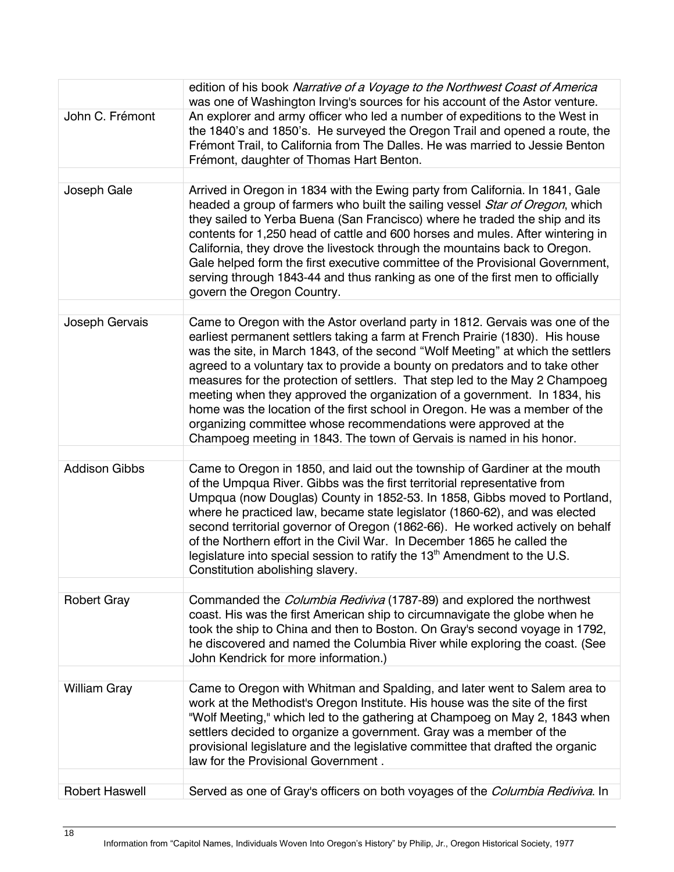|                       | edition of his book Narrative of a Voyage to the Northwest Coast of America<br>was one of Washington Irving's sources for his account of the Astor venture.                                                                                                                                                                                                                                                                                                                                                                                                                                                                             |
|-----------------------|-----------------------------------------------------------------------------------------------------------------------------------------------------------------------------------------------------------------------------------------------------------------------------------------------------------------------------------------------------------------------------------------------------------------------------------------------------------------------------------------------------------------------------------------------------------------------------------------------------------------------------------------|
| John C. Frémont       | An explorer and army officer who led a number of expeditions to the West in<br>the 1840's and 1850's. He surveyed the Oregon Trail and opened a route, the<br>Frémont Trail, to California from The Dalles. He was married to Jessie Benton<br>Frémont, daughter of Thomas Hart Benton.                                                                                                                                                                                                                                                                                                                                                 |
|                       |                                                                                                                                                                                                                                                                                                                                                                                                                                                                                                                                                                                                                                         |
| Joseph Gale           | Arrived in Oregon in 1834 with the Ewing party from California. In 1841, Gale<br>headed a group of farmers who built the sailing vessel Star of Oregon, which<br>they sailed to Yerba Buena (San Francisco) where he traded the ship and its<br>contents for 1,250 head of cattle and 600 horses and mules. After wintering in<br>California, they drove the livestock through the mountains back to Oregon.<br>Gale helped form the first executive committee of the Provisional Government,<br>serving through 1843-44 and thus ranking as one of the first men to officially<br>govern the Oregon Country.                           |
| Joseph Gervais        | Came to Oregon with the Astor overland party in 1812. Gervais was one of the                                                                                                                                                                                                                                                                                                                                                                                                                                                                                                                                                            |
|                       | earliest permanent settlers taking a farm at French Prairie (1830). His house<br>was the site, in March 1843, of the second "Wolf Meeting" at which the settlers<br>agreed to a voluntary tax to provide a bounty on predators and to take other<br>measures for the protection of settlers. That step led to the May 2 Champoeg<br>meeting when they approved the organization of a government. In 1834, his<br>home was the location of the first school in Oregon. He was a member of the<br>organizing committee whose recommendations were approved at the<br>Champoeg meeting in 1843. The town of Gervais is named in his honor. |
|                       |                                                                                                                                                                                                                                                                                                                                                                                                                                                                                                                                                                                                                                         |
| <b>Addison Gibbs</b>  | Came to Oregon in 1850, and laid out the township of Gardiner at the mouth<br>of the Umpqua River. Gibbs was the first territorial representative from<br>Umpqua (now Douglas) County in 1852-53. In 1858, Gibbs moved to Portland,<br>where he practiced law, became state legislator (1860-62), and was elected<br>second territorial governor of Oregon (1862-66). He worked actively on behalf<br>of the Northern effort in the Civil War. In December 1865 he called the<br>legislature into special session to ratify the $13th$ Amendment to the U.S.<br>Constitution abolishing slavery.                                        |
|                       |                                                                                                                                                                                                                                                                                                                                                                                                                                                                                                                                                                                                                                         |
| <b>Robert Gray</b>    | Commanded the <i>Columbia Rediviva</i> (1787-89) and explored the northwest<br>coast. His was the first American ship to circumnavigate the globe when he<br>took the ship to China and then to Boston. On Gray's second voyage in 1792,<br>he discovered and named the Columbia River while exploring the coast. (See<br>John Kendrick for more information.)                                                                                                                                                                                                                                                                          |
|                       |                                                                                                                                                                                                                                                                                                                                                                                                                                                                                                                                                                                                                                         |
| <b>William Gray</b>   | Came to Oregon with Whitman and Spalding, and later went to Salem area to<br>work at the Methodist's Oregon Institute. His house was the site of the first<br>"Wolf Meeting," which led to the gathering at Champoeg on May 2, 1843 when<br>settlers decided to organize a government. Gray was a member of the<br>provisional legislature and the legislative committee that drafted the organic<br>law for the Provisional Government.                                                                                                                                                                                                |
|                       |                                                                                                                                                                                                                                                                                                                                                                                                                                                                                                                                                                                                                                         |
| <b>Robert Haswell</b> | Served as one of Gray's officers on both voyages of the Columbia Rediviva. In                                                                                                                                                                                                                                                                                                                                                                                                                                                                                                                                                           |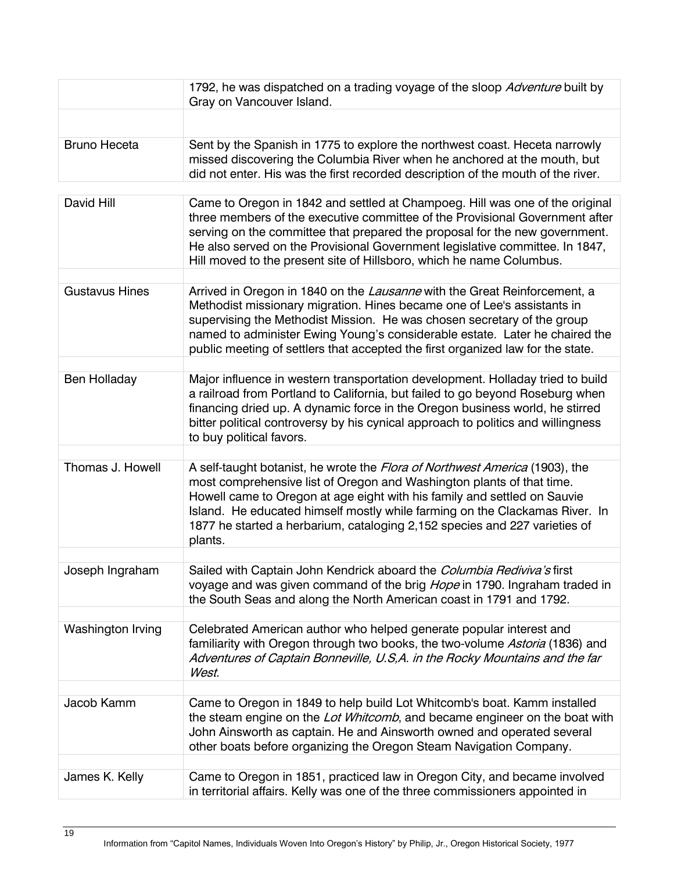|                       | 1792, he was dispatched on a trading voyage of the sloop Adventure built by<br>Gray on Vancouver Island.                                                                                                                                                                                                                                                                                            |
|-----------------------|-----------------------------------------------------------------------------------------------------------------------------------------------------------------------------------------------------------------------------------------------------------------------------------------------------------------------------------------------------------------------------------------------------|
|                       |                                                                                                                                                                                                                                                                                                                                                                                                     |
| <b>Bruno Heceta</b>   | Sent by the Spanish in 1775 to explore the northwest coast. Heceta narrowly<br>missed discovering the Columbia River when he anchored at the mouth, but<br>did not enter. His was the first recorded description of the mouth of the river.                                                                                                                                                         |
| David Hill            | Came to Oregon in 1842 and settled at Champoeg. Hill was one of the original<br>three members of the executive committee of the Provisional Government after<br>serving on the committee that prepared the proposal for the new government.<br>He also served on the Provisional Government legislative committee. In 1847,<br>Hill moved to the present site of Hillsboro, which he name Columbus. |
| <b>Gustavus Hines</b> | Arrived in Oregon in 1840 on the Lausanne with the Great Reinforcement, a<br>Methodist missionary migration. Hines became one of Lee's assistants in<br>supervising the Methodist Mission. He was chosen secretary of the group<br>named to administer Ewing Young's considerable estate. Later he chaired the<br>public meeting of settlers that accepted the first organized law for the state.   |
| <b>Ben Holladay</b>   | Major influence in western transportation development. Holladay tried to build<br>a railroad from Portland to California, but failed to go beyond Roseburg when<br>financing dried up. A dynamic force in the Oregon business world, he stirred<br>bitter political controversy by his cynical approach to politics and willingness<br>to buy political favors.                                     |
| Thomas J. Howell      | A self-taught botanist, he wrote the Flora of Northwest America (1903), the                                                                                                                                                                                                                                                                                                                         |
|                       | most comprehensive list of Oregon and Washington plants of that time.<br>Howell came to Oregon at age eight with his family and settled on Sauvie<br>Island. He educated himself mostly while farming on the Clackamas River. In<br>1877 he started a herbarium, cataloging 2,152 species and 227 varieties of<br>plants.                                                                           |
|                       |                                                                                                                                                                                                                                                                                                                                                                                                     |
| Joseph Ingraham       | Sailed with Captain John Kendrick aboard the Columbia Rediviva's first<br>voyage and was given command of the brig Hope in 1790. Ingraham traded in<br>the South Seas and along the North American coast in 1791 and 1792.                                                                                                                                                                          |
| Washington Irving     | Celebrated American author who helped generate popular interest and<br>familiarity with Oregon through two books, the two-volume Astoria (1836) and<br>Adventures of Captain Bonneville, U.S, A. in the Rocky Mountains and the far<br>West.                                                                                                                                                        |
| Jacob Kamm            | Came to Oregon in 1849 to help build Lot Whitcomb's boat. Kamm installed                                                                                                                                                                                                                                                                                                                            |
|                       | the steam engine on the Lot Whitcomb, and became engineer on the boat with<br>John Ainsworth as captain. He and Ainsworth owned and operated several<br>other boats before organizing the Oregon Steam Navigation Company.                                                                                                                                                                          |
| James K. Kelly        | Came to Oregon in 1851, practiced law in Oregon City, and became involved                                                                                                                                                                                                                                                                                                                           |
|                       | in territorial affairs. Kelly was one of the three commissioners appointed in                                                                                                                                                                                                                                                                                                                       |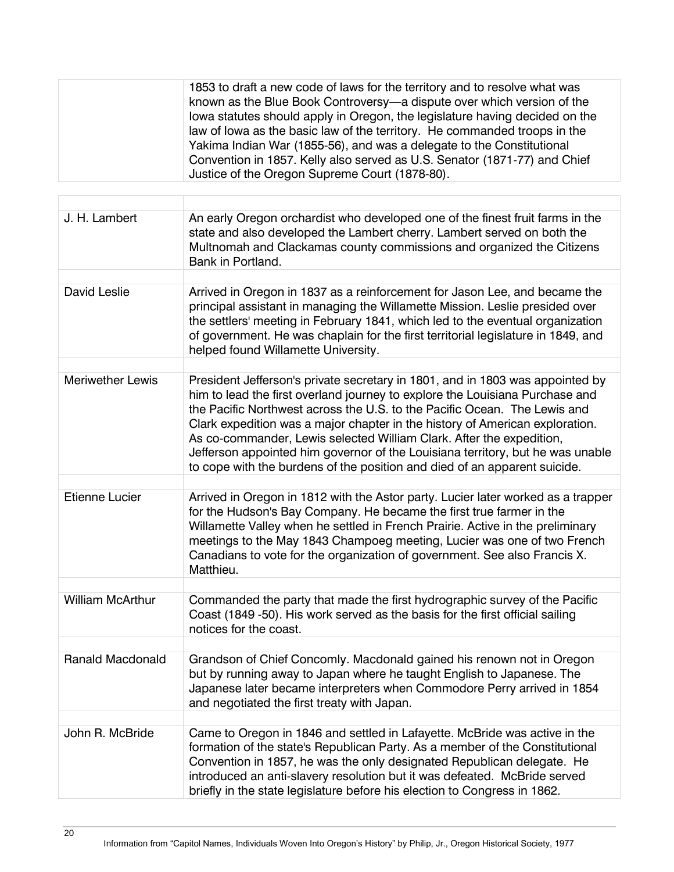| 1853 to draft a new code of laws for the territory and to resolve what was  |
|-----------------------------------------------------------------------------|
| known as the Blue Book Controversy—a dispute over which version of the      |
| lowa statutes should apply in Oregon, the legislature having decided on the |
| law of lowa as the basic law of the territory. He commanded troops in the   |
| Yakima Indian War (1855-56), and was a delegate to the Constitutional       |
| Convention in 1857. Kelly also served as U.S. Senator (1871-77) and Chief   |
| Justice of the Oregon Supreme Court (1878-80).                              |
|                                                                             |

| J. H. Lambert           | An early Oregon orchardist who developed one of the finest fruit farms in the<br>state and also developed the Lambert cherry. Lambert served on both the<br>Multnomah and Clackamas county commissions and organized the Citizens<br>Bank in Portland.                                                                                                                                                                                                                                                                                                            |
|-------------------------|-------------------------------------------------------------------------------------------------------------------------------------------------------------------------------------------------------------------------------------------------------------------------------------------------------------------------------------------------------------------------------------------------------------------------------------------------------------------------------------------------------------------------------------------------------------------|
|                         |                                                                                                                                                                                                                                                                                                                                                                                                                                                                                                                                                                   |
| <b>David Leslie</b>     | Arrived in Oregon in 1837 as a reinforcement for Jason Lee, and became the<br>principal assistant in managing the Willamette Mission. Leslie presided over<br>the settlers' meeting in February 1841, which led to the eventual organization<br>of government. He was chaplain for the first territorial legislature in 1849, and<br>helped found Willamette University.                                                                                                                                                                                          |
|                         |                                                                                                                                                                                                                                                                                                                                                                                                                                                                                                                                                                   |
| <b>Meriwether Lewis</b> | President Jefferson's private secretary in 1801, and in 1803 was appointed by<br>him to lead the first overland journey to explore the Louisiana Purchase and<br>the Pacific Northwest across the U.S. to the Pacific Ocean. The Lewis and<br>Clark expedition was a major chapter in the history of American exploration.<br>As co-commander, Lewis selected William Clark. After the expedition,<br>Jefferson appointed him governor of the Louisiana territory, but he was unable<br>to cope with the burdens of the position and died of an apparent suicide. |
|                         |                                                                                                                                                                                                                                                                                                                                                                                                                                                                                                                                                                   |
| Etienne Lucier          | Arrived in Oregon in 1812 with the Astor party. Lucier later worked as a trapper<br>for the Hudson's Bay Company. He became the first true farmer in the<br>Willamette Valley when he settled in French Prairie. Active in the preliminary<br>meetings to the May 1843 Champoeg meeting, Lucier was one of two French<br>Canadians to vote for the organization of government. See also Francis X.<br>Matthieu.                                                                                                                                                   |
|                         |                                                                                                                                                                                                                                                                                                                                                                                                                                                                                                                                                                   |
| <b>William McArthur</b> | Commanded the party that made the first hydrographic survey of the Pacific<br>Coast (1849 - 50). His work served as the basis for the first official sailing<br>notices for the coast.                                                                                                                                                                                                                                                                                                                                                                            |
|                         |                                                                                                                                                                                                                                                                                                                                                                                                                                                                                                                                                                   |
| <b>Ranald Macdonald</b> | Grandson of Chief Concomly. Macdonald gained his renown not in Oregon<br>but by running away to Japan where he taught English to Japanese. The<br>Japanese later became interpreters when Commodore Perry arrived in 1854<br>and negotiated the first treaty with Japan.                                                                                                                                                                                                                                                                                          |
|                         |                                                                                                                                                                                                                                                                                                                                                                                                                                                                                                                                                                   |
| John R. McBride         | Came to Oregon in 1846 and settled in Lafayette. McBride was active in the<br>formation of the state's Republican Party. As a member of the Constitutional<br>Convention in 1857, he was the only designated Republican delegate. He<br>introduced an anti-slavery resolution but it was defeated. McBride served<br>briefly in the state legislature before his election to Congress in 1862.                                                                                                                                                                    |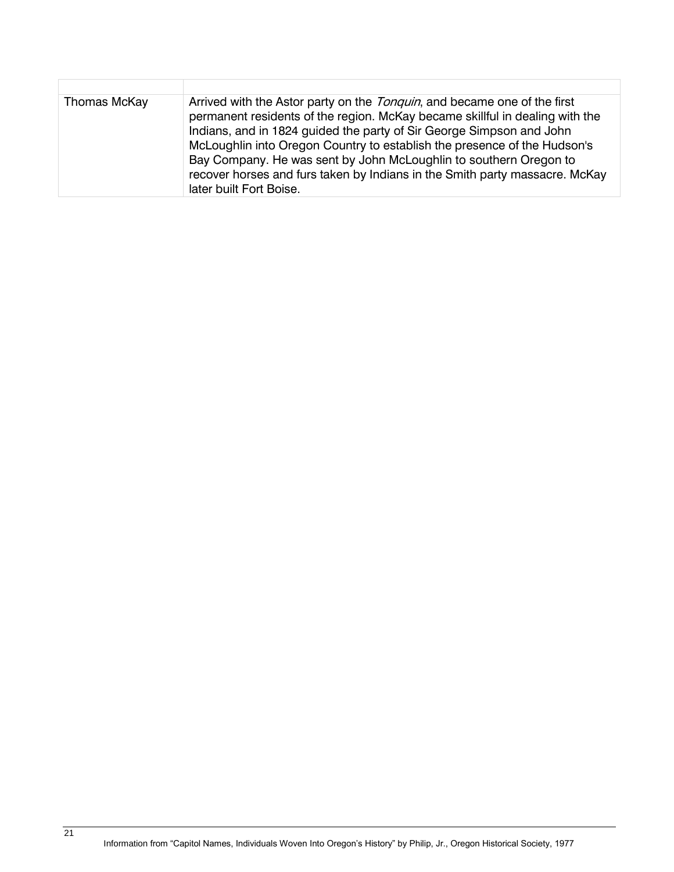| Thomas McKay | Arrived with the Astor party on the <i>Tonquin</i> , and became one of the first<br>permanent residents of the region. McKay became skillful in dealing with the<br>Indians, and in 1824 guided the party of Sir George Simpson and John<br>McLoughlin into Oregon Country to establish the presence of the Hudson's<br>Bay Company. He was sent by John McLoughlin to southern Oregon to<br>recover horses and furs taken by Indians in the Smith party massacre. McKay<br>later built Fort Boise. |
|--------------|-----------------------------------------------------------------------------------------------------------------------------------------------------------------------------------------------------------------------------------------------------------------------------------------------------------------------------------------------------------------------------------------------------------------------------------------------------------------------------------------------------|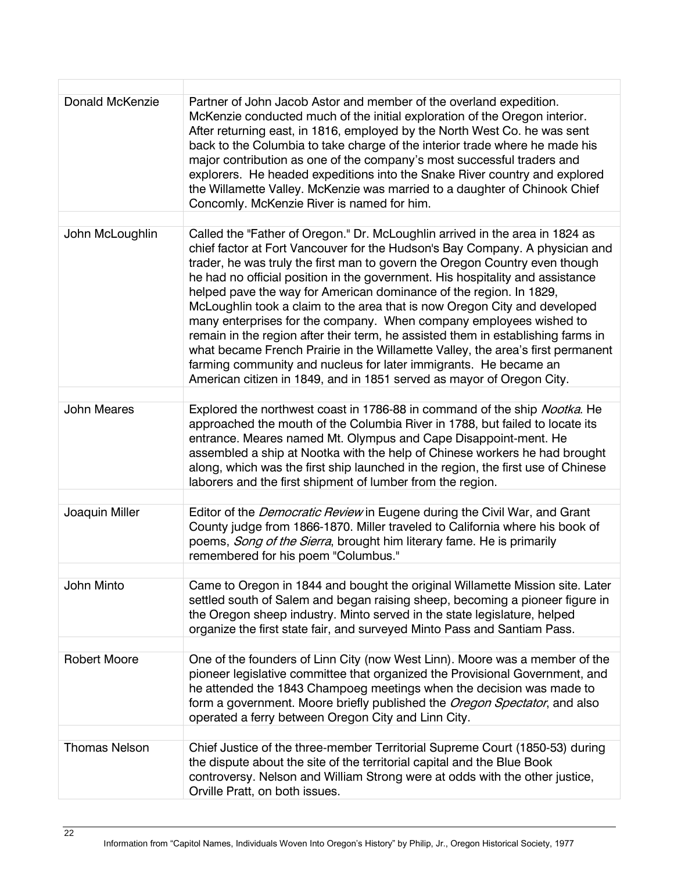| <b>Donald McKenzie</b> | Partner of John Jacob Astor and member of the overland expedition.                                                                                                                                                                                                                                                                                                                                                                                                                                                                                                                                                                                                                                                                                                                        |
|------------------------|-------------------------------------------------------------------------------------------------------------------------------------------------------------------------------------------------------------------------------------------------------------------------------------------------------------------------------------------------------------------------------------------------------------------------------------------------------------------------------------------------------------------------------------------------------------------------------------------------------------------------------------------------------------------------------------------------------------------------------------------------------------------------------------------|
|                        | McKenzie conducted much of the initial exploration of the Oregon interior.<br>After returning east, in 1816, employed by the North West Co. he was sent<br>back to the Columbia to take charge of the interior trade where he made his<br>major contribution as one of the company's most successful traders and<br>explorers. He headed expeditions into the Snake River country and explored<br>the Willamette Valley. McKenzie was married to a daughter of Chinook Chief<br>Concomly. McKenzie River is named for him.                                                                                                                                                                                                                                                                |
| John McLoughlin        | Called the "Father of Oregon." Dr. McLoughlin arrived in the area in 1824 as                                                                                                                                                                                                                                                                                                                                                                                                                                                                                                                                                                                                                                                                                                              |
|                        | chief factor at Fort Vancouver for the Hudson's Bay Company. A physician and<br>trader, he was truly the first man to govern the Oregon Country even though<br>he had no official position in the government. His hospitality and assistance<br>helped pave the way for American dominance of the region. In 1829,<br>McLoughlin took a claim to the area that is now Oregon City and developed<br>many enterprises for the company. When company employees wished to<br>remain in the region after their term, he assisted them in establishing farms in<br>what became French Prairie in the Willamette Valley, the area's first permanent<br>farming community and nucleus for later immigrants. He became an<br>American citizen in 1849, and in 1851 served as mayor of Oregon City. |
| <b>John Meares</b>     | Explored the northwest coast in 1786-88 in command of the ship <i>Nootka</i> . He                                                                                                                                                                                                                                                                                                                                                                                                                                                                                                                                                                                                                                                                                                         |
|                        | approached the mouth of the Columbia River in 1788, but failed to locate its<br>entrance. Meares named Mt. Olympus and Cape Disappoint-ment. He<br>assembled a ship at Nootka with the help of Chinese workers he had brought<br>along, which was the first ship launched in the region, the first use of Chinese<br>laborers and the first shipment of lumber from the region.                                                                                                                                                                                                                                                                                                                                                                                                           |
|                        |                                                                                                                                                                                                                                                                                                                                                                                                                                                                                                                                                                                                                                                                                                                                                                                           |
| Joaquin Miller         | Editor of the <i>Democratic Review</i> in Eugene during the Civil War, and Grant<br>County judge from 1866-1870. Miller traveled to California where his book of<br>poems, Song of the Sierra, brought him literary fame. He is primarily<br>remembered for his poem "Columbus."                                                                                                                                                                                                                                                                                                                                                                                                                                                                                                          |
|                        |                                                                                                                                                                                                                                                                                                                                                                                                                                                                                                                                                                                                                                                                                                                                                                                           |
| John Minto             | Came to Oregon in 1844 and bought the original Willamette Mission site. Later<br>settled south of Salem and began raising sheep, becoming a pioneer figure in<br>the Oregon sheep industry. Minto served in the state legislature, helped<br>organize the first state fair, and surveyed Minto Pass and Santiam Pass.                                                                                                                                                                                                                                                                                                                                                                                                                                                                     |
| <b>Robert Moore</b>    | One of the founders of Linn City (now West Linn). Moore was a member of the<br>pioneer legislative committee that organized the Provisional Government, and<br>he attended the 1843 Champoeg meetings when the decision was made to<br>form a government. Moore briefly published the Oregon Spectator, and also<br>operated a ferry between Oregon City and Linn City.                                                                                                                                                                                                                                                                                                                                                                                                                   |
| <b>Thomas Nelson</b>   | Chief Justice of the three-member Territorial Supreme Court (1850-53) during                                                                                                                                                                                                                                                                                                                                                                                                                                                                                                                                                                                                                                                                                                              |
|                        | the dispute about the site of the territorial capital and the Blue Book<br>controversy. Nelson and William Strong were at odds with the other justice,<br>Orville Pratt, on both issues.                                                                                                                                                                                                                                                                                                                                                                                                                                                                                                                                                                                                  |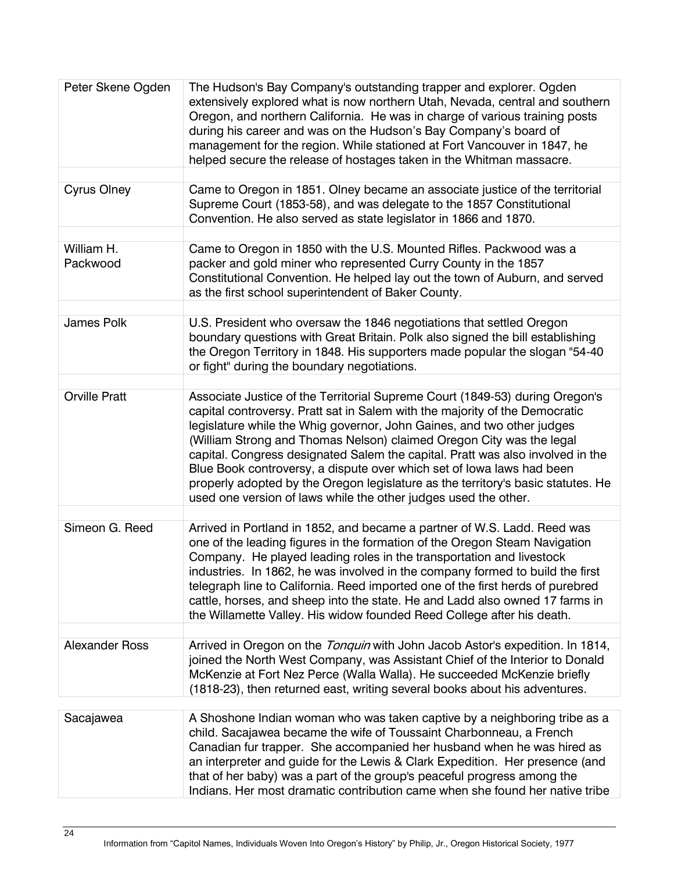| Peter Skene Ogden      | The Hudson's Bay Company's outstanding trapper and explorer. Ogden<br>extensively explored what is now northern Utah, Nevada, central and southern<br>Oregon, and northern California. He was in charge of various training posts<br>during his career and was on the Hudson's Bay Company's board of<br>management for the region. While stationed at Fort Vancouver in 1847, he<br>helped secure the release of hostages taken in the Whitman massacre.                                                                                                                                                                       |
|------------------------|---------------------------------------------------------------------------------------------------------------------------------------------------------------------------------------------------------------------------------------------------------------------------------------------------------------------------------------------------------------------------------------------------------------------------------------------------------------------------------------------------------------------------------------------------------------------------------------------------------------------------------|
| <b>Cyrus Olney</b>     | Came to Oregon in 1851. Olney became an associate justice of the territorial                                                                                                                                                                                                                                                                                                                                                                                                                                                                                                                                                    |
|                        | Supreme Court (1853-58), and was delegate to the 1857 Constitutional<br>Convention. He also served as state legislator in 1866 and 1870.                                                                                                                                                                                                                                                                                                                                                                                                                                                                                        |
|                        |                                                                                                                                                                                                                                                                                                                                                                                                                                                                                                                                                                                                                                 |
| William H.<br>Packwood | Came to Oregon in 1850 with the U.S. Mounted Rifles. Packwood was a<br>packer and gold miner who represented Curry County in the 1857<br>Constitutional Convention. He helped lay out the town of Auburn, and served<br>as the first school superintendent of Baker County.                                                                                                                                                                                                                                                                                                                                                     |
|                        |                                                                                                                                                                                                                                                                                                                                                                                                                                                                                                                                                                                                                                 |
| James Polk             | U.S. President who oversaw the 1846 negotiations that settled Oregon<br>boundary questions with Great Britain. Polk also signed the bill establishing<br>the Oregon Territory in 1848. His supporters made popular the slogan "54-40<br>or fight" during the boundary negotiations.                                                                                                                                                                                                                                                                                                                                             |
|                        |                                                                                                                                                                                                                                                                                                                                                                                                                                                                                                                                                                                                                                 |
| <b>Orville Pratt</b>   | Associate Justice of the Territorial Supreme Court (1849-53) during Oregon's<br>capital controversy. Pratt sat in Salem with the majority of the Democratic<br>legislature while the Whig governor, John Gaines, and two other judges<br>(William Strong and Thomas Nelson) claimed Oregon City was the legal<br>capital. Congress designated Salem the capital. Pratt was also involved in the<br>Blue Book controversy, a dispute over which set of lowa laws had been<br>properly adopted by the Oregon legislature as the territory's basic statutes. He<br>used one version of laws while the other judges used the other. |
|                        |                                                                                                                                                                                                                                                                                                                                                                                                                                                                                                                                                                                                                                 |
| Simeon G. Reed         | Arrived in Portland in 1852, and became a partner of W.S. Ladd. Reed was<br>one of the leading figures in the formation of the Oregon Steam Navigation<br>Company. He played leading roles in the transportation and livestock<br>industries. In 1862, he was involved in the company formed to build the first<br>telegraph line to California. Reed imported one of the first herds of purebred<br>cattle, horses, and sheep into the state. He and Ladd also owned 17 farms in<br>the Willamette Valley. His widow founded Reed College after his death.                                                                     |
|                        |                                                                                                                                                                                                                                                                                                                                                                                                                                                                                                                                                                                                                                 |
| <b>Alexander Ross</b>  | Arrived in Oregon on the Tonquin with John Jacob Astor's expedition. In 1814,<br>joined the North West Company, was Assistant Chief of the Interior to Donald<br>McKenzie at Fort Nez Perce (Walla Walla). He succeeded McKenzie briefly<br>(1818-23), then returned east, writing several books about his adventures.                                                                                                                                                                                                                                                                                                          |
|                        |                                                                                                                                                                                                                                                                                                                                                                                                                                                                                                                                                                                                                                 |
| Sacajawea              | A Shoshone Indian woman who was taken captive by a neighboring tribe as a<br>child. Sacajawea became the wife of Toussaint Charbonneau, a French<br>Canadian fur trapper. She accompanied her husband when he was hired as<br>an interpreter and guide for the Lewis & Clark Expedition. Her presence (and<br>that of her baby) was a part of the group's peaceful progress among the                                                                                                                                                                                                                                           |

Indians. Her most dramatic contribution came when she found her native tribe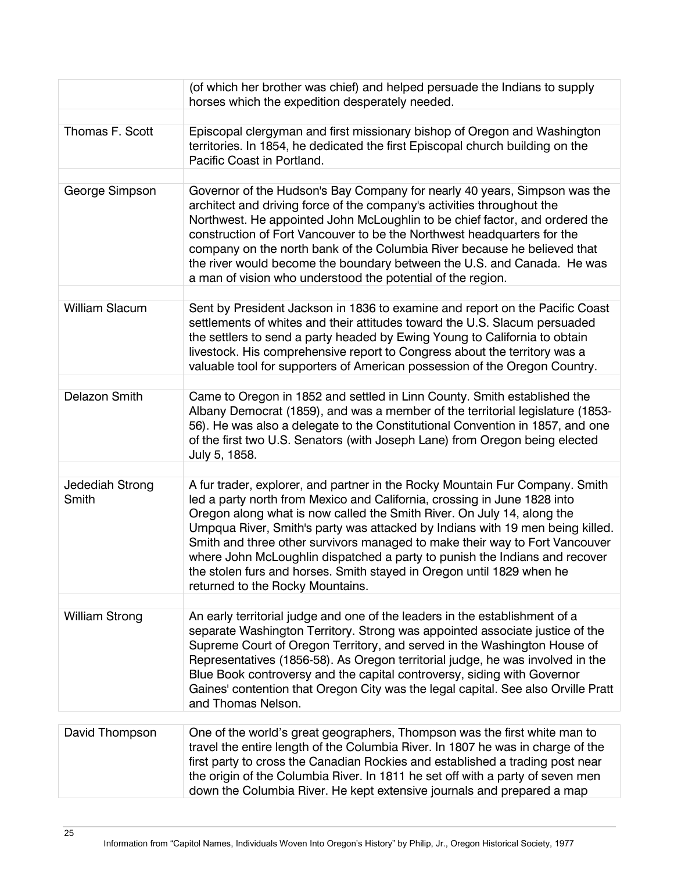|                          | (of which her brother was chief) and helped persuade the Indians to supply<br>horses which the expedition desperately needed.                                                                                                                                                                                                                                                                                                                                                                                                                                                                 |
|--------------------------|-----------------------------------------------------------------------------------------------------------------------------------------------------------------------------------------------------------------------------------------------------------------------------------------------------------------------------------------------------------------------------------------------------------------------------------------------------------------------------------------------------------------------------------------------------------------------------------------------|
| Thomas F. Scott          | Episcopal clergyman and first missionary bishop of Oregon and Washington<br>territories. In 1854, he dedicated the first Episcopal church building on the<br>Pacific Coast in Portland.                                                                                                                                                                                                                                                                                                                                                                                                       |
| George Simpson           | Governor of the Hudson's Bay Company for nearly 40 years, Simpson was the<br>architect and driving force of the company's activities throughout the<br>Northwest. He appointed John McLoughlin to be chief factor, and ordered the<br>construction of Fort Vancouver to be the Northwest headquarters for the<br>company on the north bank of the Columbia River because he believed that<br>the river would become the boundary between the U.S. and Canada. He was<br>a man of vision who understood the potential of the region.                                                           |
| <b>William Slacum</b>    | Sent by President Jackson in 1836 to examine and report on the Pacific Coast<br>settlements of whites and their attitudes toward the U.S. Slacum persuaded<br>the settlers to send a party headed by Ewing Young to California to obtain<br>livestock. His comprehensive report to Congress about the territory was a<br>valuable tool for supporters of American possession of the Oregon Country.                                                                                                                                                                                           |
| Delazon Smith            | Came to Oregon in 1852 and settled in Linn County. Smith established the<br>Albany Democrat (1859), and was a member of the territorial legislature (1853-<br>56). He was also a delegate to the Constitutional Convention in 1857, and one<br>of the first two U.S. Senators (with Joseph Lane) from Oregon being elected<br>July 5, 1858.                                                                                                                                                                                                                                                   |
| Jedediah Strong<br>Smith | A fur trader, explorer, and partner in the Rocky Mountain Fur Company. Smith<br>led a party north from Mexico and California, crossing in June 1828 into<br>Oregon along what is now called the Smith River. On July 14, along the<br>Umpqua River, Smith's party was attacked by Indians with 19 men being killed.<br>Smith and three other survivors managed to make their way to Fort Vancouver<br>where John McLoughlin dispatched a party to punish the Indians and recover<br>the stolen furs and horses. Smith stayed in Oregon until 1829 when he<br>returned to the Rocky Mountains. |
| <b>William Strong</b>    | An early territorial judge and one of the leaders in the establishment of a<br>separate Washington Territory. Strong was appointed associate justice of the<br>Supreme Court of Oregon Territory, and served in the Washington House of<br>Representatives (1856-58). As Oregon territorial judge, he was involved in the<br>Blue Book controversy and the capital controversy, siding with Governor<br>Gaines' contention that Oregon City was the legal capital. See also Orville Pratt<br>and Thomas Nelson.                                                                               |
| David Thompson           | One of the world's great geographers, Thompson was the first white man to<br>travel the entire length of the Columbia River. In 1807 he was in charge of the<br>first party to cross the Canadian Rockies and established a trading post near<br>the origin of the Columbia River. In 1811 he set off with a party of seven men<br>down the Columbia River. He kept extensive journals and prepared a map                                                                                                                                                                                     |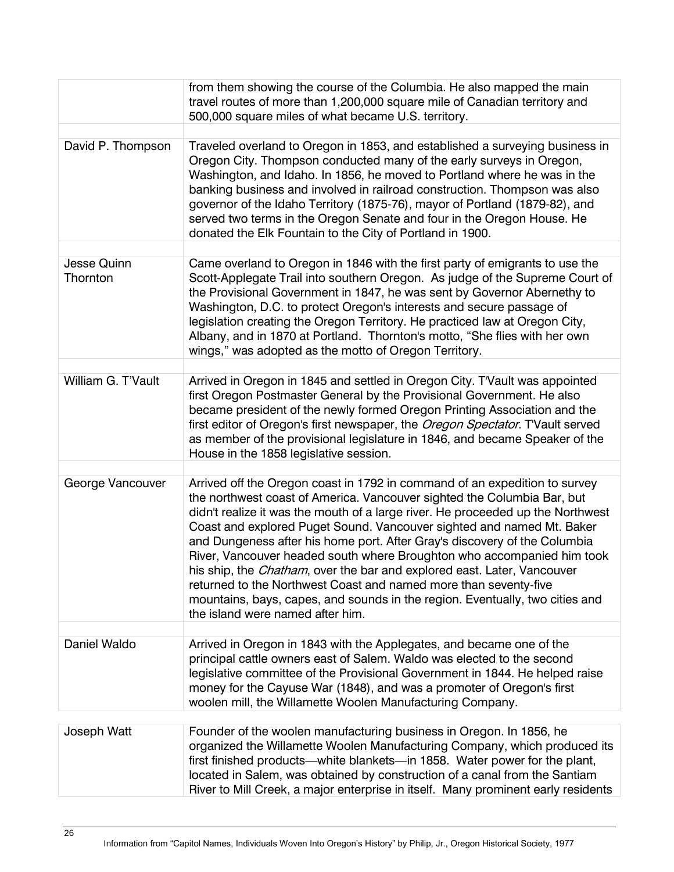|                    | from them showing the course of the Columbia. He also mapped the main<br>travel routes of more than 1,200,000 square mile of Canadian territory and<br>500,000 square miles of what became U.S. territory.                                                                                                                                                                                                                                                                                                                                                                                                                                                            |
|--------------------|-----------------------------------------------------------------------------------------------------------------------------------------------------------------------------------------------------------------------------------------------------------------------------------------------------------------------------------------------------------------------------------------------------------------------------------------------------------------------------------------------------------------------------------------------------------------------------------------------------------------------------------------------------------------------|
| David P. Thompson  | Traveled overland to Oregon in 1853, and established a surveying business in<br>Oregon City. Thompson conducted many of the early surveys in Oregon,<br>Washington, and Idaho. In 1856, he moved to Portland where he was in the<br>banking business and involved in railroad construction. Thompson was also<br>governor of the Idaho Territory (1875-76), mayor of Portland (1879-82), and<br>served two terms in the Oregon Senate and four in the Oregon House. He<br>donated the Elk Fountain to the City of Portland in 1900.                                                                                                                                   |
| <b>Jesse Quinn</b> | Came overland to Oregon in 1846 with the first party of emigrants to use the                                                                                                                                                                                                                                                                                                                                                                                                                                                                                                                                                                                          |
| Thornton           | Scott-Applegate Trail into southern Oregon. As judge of the Supreme Court of<br>the Provisional Government in 1847, he was sent by Governor Abernethy to<br>Washington, D.C. to protect Oregon's interests and secure passage of<br>legislation creating the Oregon Territory. He practiced law at Oregon City,<br>Albany, and in 1870 at Portland. Thornton's motto, "She flies with her own<br>wings," was adopted as the motto of Oregon Territory.                                                                                                                                                                                                                |
| William G. T'Vault | Arrived in Oregon in 1845 and settled in Oregon City. T'Vault was appointed                                                                                                                                                                                                                                                                                                                                                                                                                                                                                                                                                                                           |
|                    | first Oregon Postmaster General by the Provisional Government. He also<br>became president of the newly formed Oregon Printing Association and the<br>first editor of Oregon's first newspaper, the Oregon Spectator. T'Vault served<br>as member of the provisional legislature in 1846, and became Speaker of the<br>House in the 1858 legislative session.                                                                                                                                                                                                                                                                                                         |
| George Vancouver   | Arrived off the Oregon coast in 1792 in command of an expedition to survey                                                                                                                                                                                                                                                                                                                                                                                                                                                                                                                                                                                            |
|                    | the northwest coast of America. Vancouver sighted the Columbia Bar, but<br>didn't realize it was the mouth of a large river. He proceeded up the Northwest<br>Coast and explored Puget Sound. Vancouver sighted and named Mt. Baker<br>and Dungeness after his home port. After Gray's discovery of the Columbia<br>River, Vancouver headed south where Broughton who accompanied him took<br>his ship, the <i>Chatham</i> , over the bar and explored east. Later, Vancouver<br>returned to the Northwest Coast and named more than seventy-five<br>mountains, bays, capes, and sounds in the region. Eventually, two cities and<br>the island were named after him. |
| Daniel Waldo       | Arrived in Oregon in 1843 with the Applegates, and became one of the                                                                                                                                                                                                                                                                                                                                                                                                                                                                                                                                                                                                  |
|                    | principal cattle owners east of Salem. Waldo was elected to the second<br>legislative committee of the Provisional Government in 1844. He helped raise<br>money for the Cayuse War (1848), and was a promoter of Oregon's first<br>woolen mill, the Willamette Woolen Manufacturing Company.                                                                                                                                                                                                                                                                                                                                                                          |
| Joseph Watt        | Founder of the woolen manufacturing business in Oregon. In 1856, he                                                                                                                                                                                                                                                                                                                                                                                                                                                                                                                                                                                                   |
|                    | organized the Willamette Woolen Manufacturing Company, which produced its<br>first finished products—white blankets—in 1858. Water power for the plant,<br>located in Salem, was obtained by construction of a canal from the Santiam<br>River to Mill Creek, a major enterprise in itself. Many prominent early residents                                                                                                                                                                                                                                                                                                                                            |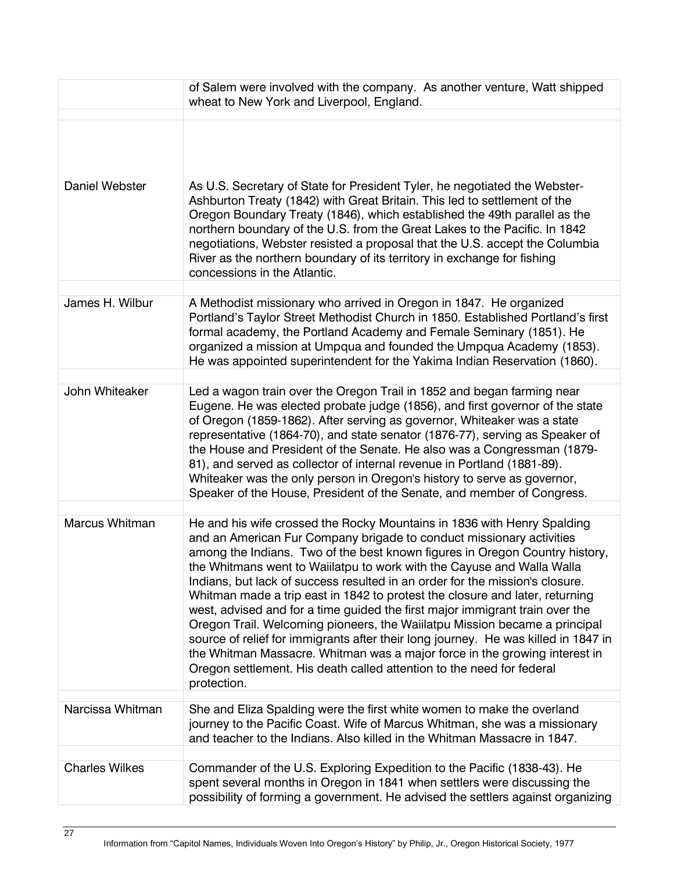|                       | of Salem were involved with the company. As another venture, Watt shipped<br>wheat to New York and Liverpool, England.                                                                                                                                                                                                                                                                                                                                                                                                                                                                                                                                                                                                                                                                                                                                                                             |
|-----------------------|----------------------------------------------------------------------------------------------------------------------------------------------------------------------------------------------------------------------------------------------------------------------------------------------------------------------------------------------------------------------------------------------------------------------------------------------------------------------------------------------------------------------------------------------------------------------------------------------------------------------------------------------------------------------------------------------------------------------------------------------------------------------------------------------------------------------------------------------------------------------------------------------------|
| <b>Daniel Webster</b> | As U.S. Secretary of State for President Tyler, he negotiated the Webster-<br>Ashburton Treaty (1842) with Great Britain. This led to settlement of the<br>Oregon Boundary Treaty (1846), which established the 49th parallel as the<br>northern boundary of the U.S. from the Great Lakes to the Pacific. In 1842<br>negotiations, Webster resisted a proposal that the U.S. accept the Columbia<br>River as the northern boundary of its territory in exchange for fishing<br>concessions in the Atlantic.                                                                                                                                                                                                                                                                                                                                                                                       |
| James H. Wilbur       | A Methodist missionary who arrived in Oregon in 1847. He organized<br>Portland's Taylor Street Methodist Church in 1850. Established Portland's first<br>formal academy, the Portland Academy and Female Seminary (1851). He<br>organized a mission at Umpqua and founded the Umpqua Academy (1853).<br>He was appointed superintendent for the Yakima Indian Reservation (1860).                                                                                                                                                                                                                                                                                                                                                                                                                                                                                                                  |
| John Whiteaker        | Led a wagon train over the Oregon Trail in 1852 and began farming near<br>Eugene. He was elected probate judge (1856), and first governor of the state<br>of Oregon (1859-1862). After serving as governor, Whiteaker was a state<br>representative (1864-70), and state senator (1876-77), serving as Speaker of<br>the House and President of the Senate. He also was a Congressman (1879-<br>81), and served as collector of internal revenue in Portland (1881-89).<br>Whiteaker was the only person in Oregon's history to serve as governor,<br>Speaker of the House, President of the Senate, and member of Congress.                                                                                                                                                                                                                                                                       |
| Marcus Whitman        | He and his wife crossed the Rocky Mountains in 1836 with Henry Spalding<br>and an American Fur Company brigade to conduct missionary activities<br>among the Indians. Two of the best known figures in Oregon Country history,<br>the Whitmans went to Waiilatpu to work with the Cayuse and Walla Walla<br>Indians, but lack of success resulted in an order for the mission's closure.<br>Whitman made a trip east in 1842 to protest the closure and later, returning<br>west, advised and for a time guided the first major immigrant train over the<br>Oregon Trail. Welcoming pioneers, the Waiilatpu Mission became a principal<br>source of relief for immigrants after their long journey. He was killed in 1847 in<br>the Whitman Massacre. Whitman was a major force in the growing interest in<br>Oregon settlement. His death called attention to the need for federal<br>protection. |
| Narcissa Whitman      | She and Eliza Spalding were the first white women to make the overland<br>journey to the Pacific Coast. Wife of Marcus Whitman, she was a missionary<br>and teacher to the Indians. Also killed in the Whitman Massacre in 1847.                                                                                                                                                                                                                                                                                                                                                                                                                                                                                                                                                                                                                                                                   |
| <b>Charles Wilkes</b> | Commander of the U.S. Exploring Expedition to the Pacific (1838-43). He<br>spent several months in Oregon in 1841 when settlers were discussing the<br>possibility of forming a government. He advised the settlers against organizing                                                                                                                                                                                                                                                                                                                                                                                                                                                                                                                                                                                                                                                             |